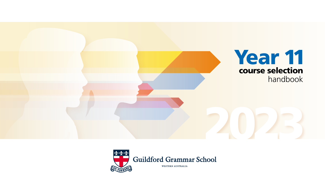

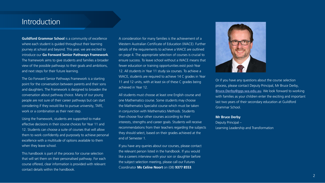# Introduction

**Guildford Grammar School** is a community of excellence where each student is quided throughout their learning journey at school and beyond. This year, we are excited to introduce our **Go Forward Senior Pathways Framework**. The framework aims to give students and families a broader view of the possible pathways to their goals and ambitions, and next steps for their future learning.

The Go Forward Senior Pathways Framework is a starting point for the conversation between parents and their sons and daughters. The Framework is designed to broaden the conversation about pathway choice. Many of our young people are not sure of their career pathways but can start considering if they would like to pursue university, TAFE, work or a combination as their next step.

Using the framework, students are supported to make effective decisions in their course choices for Year 11 and 12. Students can choose a suite of courses that will allow them to work confidently and purposely to achieve personal excellence with a multitude of options available to them when they leave school.

This handbook is part of the process for course selection that will set them on their personalised pathway. For each course offered, clear information is provided with relevant contact details within the handbook.

A consideration for many families is the achievement of a Western Australian Certificate of Education (WACE). Further details of the requirements to achieve a WACE are outlined on page 4. The appropriate selection of courses is crucial to ensure success. To leave school without a WACE means that fewer education or training opportunities exist post-Year 12. All students in Year 11 study six courses. To achieve a WACE, students are required to achieve 14 C grades in Year 11 and 12 units, with at least six of these C grades being achieved in Year 12.

All students must choose at least one English course and one Mathematics course. Some students may choose the Mathematics Specialist course which must be taken in conjunction with Mathematics Methods. Students then choose four other courses according to their interests, strengths and career goals. Students will receive recommendations from their teachers regarding the subjects they should select, based on their grades achieved at the end of Semester 1.

If you have any queries about our courses, please contact the relevant person listed in the handbook. If you would like a careers interview with your son or daughter before the subject selection meeting, please call our Futures Coordinator **Ms Celine Noort** on (08) **9377 8553**.



Or if you have any questions about the course selection process, please contact Deputy Principal, Mr Bruce Derby, **[Bruce.Derby@ggs.wa.edu.au](mailto:Bruce.Derby%40ggs.wa.edu.au?subject=)**. We look forward to working with families as your children enter the exciting and important last two years of their secondary education at Guildford Grammar School.

#### **Mr Bruce Derby**

Deputy Principal – Learning Leadership and Transformation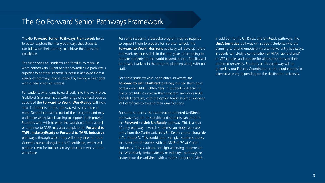# The Go Forward Senior Pathways Framework

The **Go Forward Senior Pathways Framework** helps to better capture the many pathways that students can follow on their journey to achieve their personal excellence.

The first choice for students and families to make is: what pathway do I want to step towards? No pathway is superior to another. Personal success is achieved from a variety of pathways and is shaped by having a clear goal with a clear vision of success.

For students who want to go directly into the workforce, Guildford Grammar has a wide range of General courses as part of the **Forward to Work: WorkReady** pathway. Year 11 students on this pathway will study three or more General courses as part of their program and may undertake workplace Learning to support their growth. Students who wish to enter the workforce from school or continue to TAFE may also complete the **Forward to TAFE: IndustryReady** or **Forward to TAFE: Industry+** pathways, through which they will study three or more General courses alongside a VET certificate, which will prepare them for further tertiary education whilst in the workforce.

For some students, a bespoke program may be required to support them to prepare for life after school. The **Forward to Work: Horizons** pathway will develop future and work-readiness skills in the final years of schooling to prepare students for the world beyond school. Families will be closely involved in the program planning along with our staff.

For those students wishing to enter university, the **Forward to Uni: UniDirect** pathway will see them gain access via an ATAR. Often Year 11 students will enrol in five or six ATAR courses in their program, including ATAR English Literature, with the option toalso study a two-year VET certificate to expand their qualifications.

For some students, the examination oriented UniDirect pathway may not be suitable and students can enroll in the **Forward to Uni: UniReady** pathway. This is a Year 12-only pathway in which students can study two core units from the Curtin University UniReady course alongside a Certificate IV. This combination will give students access to a selection of courses with an ATAR of 70 at Curtin University. This is suitable for high-achieving students on the WorkReady, IndustryReady or Industry+ pathways or students on the UniDirect with a modest projected ATAR.

In addition to the UniDirect and UniReady pathways, the **UniAlternative** pathway will support students who are planning to attend university via alternative entry pathways. Students can study a combination of ATAR, General and/ or VET courses and prepare for alternative entry to their preferred university. Students on this pathway will be guided by our Futures Coordinator on the requirements for alternative entry depending on the destination university.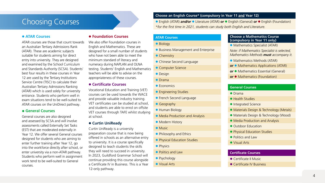# Choosing Courses

#### **ATAR Courses**

ATAR courses are those that count towards an Australian Tertiary Admissions Rank (ATAR). These are academic subjects suitable for students aiming for direct entry into university. They are designed and examined by the School Curriculum and Standards Authority (SCSA). Students' best four results in these courses in Year 12 are used by the Tertiary Institutions Service Centre (TISC) to calculate their Australian Tertiary Admissions Ranking (ATAR) which is used solely for university entrance. Students who perform well in exam situations tend to be well-suited to ATAR courses on the UniDirect pathway.

## **General Courses**

General courses are also designed and assessed by SCSA and will involve assessments called Externally Set Tasks (EST) that are moderated externally in Year 12. We offer several General courses designed for students who are aiming to enter further training after Year 12, go into the workforce directly after school, or enter university via a non-ATAR pathway. Students who perform well in assignment work tend to be well-suited to General courses.

# **Foundation Courses**

We also offer Foundation courses in English and Mathematics. These are designed for a small number of students who have not been able to meet the minimum standard of literacy and numeracy during NAPLAN and OLNA testing. Students' English and Mathematics teachers will be able to advise on the appropriateness of these courses.

# **Certificate Courses**

Vocational Education and Training (VET) courses can be used towards the WACE and provide valuable industry training. VET certificates can be studied at school, and students are able to enrol on offsite VET courses through TAFE whilst studying at school.

# **Curtin UniReady**

Curtin UniReady is a university preparation course that is now being offered in schools as an alternative entry to university. It is a course specifically designed to teach students the skills they will need to succeed in university. In 2023, Guildford Grammar School will continue providing this course alongside a Certificate IV in Business. This is a Year 12-only pathway.

#### **Choose an English Course\* (compulsory in Year 11 and Year 12)**

 English (ATAR) *and/or* Literature (ATAR) *or* English (General) *or* English (Foundation) *\*for the first time in 2021, students can study both English and Literature.*

## **ATAR Courses**

#### **Biology**

- **Business Management and Enterprise**
- Chemistry
- **Chinese Second Language**
- **Computer Science**
- Design
- **O** Drama
- $\bullet$  Economics
- **Engineering Studies**
- **•** French Second Language
- **Geography**
- **Human Biology**
- Media Production and Analysis
- **Modern History**
- Music
- **Philosophy and Ethics**
- **Physical Education Studies**
- Physics
- Politics and Law
- Psychology
- Visual Arts

#### **Choose a Mathematics Course (compulsory in Year 11 only)**

• Mathematics Specialist (ATAR)

*Note: if Mathematics Specialist is selected, Mathematics Methods must accompany it.*

- Mathematics Methods (ATAR)
- **or** Mathematics Applications (ATAR)
- **or** Mathematics Essential (General)
- **or** Mathematics (Foundation)

#### **General Courses**

- Drama
- **Health Studies**
- **Integrated Science**
- Materials Design & Technology (Metals)
- Materials Design & Technology (Wood)
- Media Production and Analysis
- Outdoor Education
- **Physical Education Studies**
- Politics and Law
- Visual Arts

# **Certificate Courses**

- **Certificate II Music**
- **Certificate IV Business**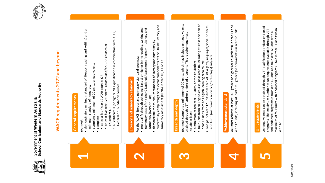



# **MACE requirements 2022 and beyond WACE requirements 2022 and beyond**



and endorsed programs is four Year 11 units and four Year 12 units with a maximum of four units with endorsed programs – two in Year 11 and two in

maximum of four units with endorsed programs - two in Year 11 and two in

Year 12.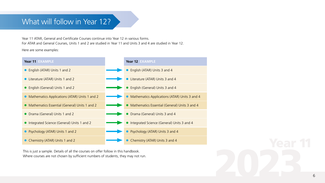# What will follow in Year 12?

Year 11 ATAR, General and Certificate Courses continue into Year 12 in various forms. For ATAR and General Courses, Units 1 and 2 are studied in Year 11 and Units 3 and 4 are studied in Year 12.

Here are some examples:



This is just a sample. Details of all the courses on offer follow in this handbook. Where courses are not chosen by sufficient numbers of students, they may not run.

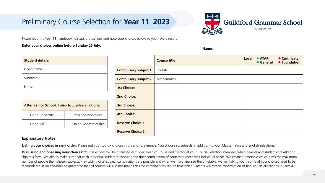# Preliminary Course Selection for **Year 11**, **2023**



Please read the Year 11 handbook, discuss the options and note your choices below so you have a record.

# **Enter your choices online before Sunday 25 July.**

**After Senior School, I plan to ...** *(please tick one)* 

 $\Box$  Go to University  $\Box$  Enter the workplace

 $\Box$  Go to TAFE  $\Box$  Do an Apprenticeship

|                             | <b>Course title</b> | Level: $\bullet$ ATAR | • Certificate<br>• General • Foundation |
|-----------------------------|---------------------|-----------------------|-----------------------------------------|
| <b>Compulsory subject 1</b> | English:            |                       |                                         |
| <b>Compulsory subject 2</b> | Mathematics:        |                       |                                         |
| <b>1st Choice:</b>          |                     |                       |                                         |
| 2nd Choice:                 |                     |                       |                                         |
| <b>3rd Choice:</b>          |                     |                       |                                         |
| <b>4th Choice:</b>          |                     |                       |                                         |
| <b>Reserve Choice 1:</b>    |                     |                       |                                         |
| <b>Reserve Choice 2:</b>    |                     |                       |                                         |

**Name**:

# **Explanatory Notes**

**Student details**

Given name:

Surname:

House:

Listing your choices in rank order: Please put your top six choices in order of preference. You choose six subjects in addition to your Mathematics and English selections.

Discussing and finalising your choices: Your selections will be discussed with your Head of House and mentor at your Course Selection Interview, when parents and students are asked to sign this form. We aim to make sure that each individual student is choosing the right combination of courses to meet their individual needs. We create a timetable which gives the maximum number of people their chosen subjects. Inevitably, not all subject combinations are possible and when we have finalised the timetable, we will talk to you if some of your choices need to be reconsidered. It isn't possible to guarantee that all courses will run nor that all desired combinations can be timetabled. Parents will receive confirmation of final course allocations in Term 4.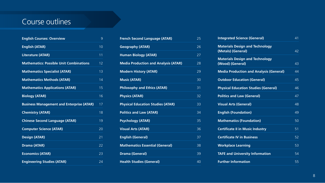# Course outlines

| <b>English Courses: Overview</b>                 | 9              |
|--------------------------------------------------|----------------|
| <b>English (ATAR)</b>                            | 10             |
| <b>Literature (ATAR)</b>                         | 11             |
| <b>Mathematics: Possible Unit Combinations</b>   | 12             |
| <b>Mathematics Specialist (ATAR)</b>             | 1 <sub>3</sub> |
| <b>Mathematics Methods (ATAR)</b>                | 14             |
| <b>Mathematics Applications (ATAR)</b>           | 15             |
| <b>Biology (ATAR)</b>                            | 16             |
| <b>Business Management and Enterprise (ATAR)</b> | 17             |
| <b>Chemistry (ATAR)</b>                          | 18             |
| <b>Chinese Second Language (ATAR)</b>            | 19             |
| <b>Computer Science (ATAR)</b>                   | 20             |
| <b>Design (ATAR)</b>                             | 21             |
| <b>Drama (ATAR)</b>                              | 22             |
| <b>Economics (ATAR)</b>                          | 23             |
| <b>Engineering Studies (ATAR)</b>                | 24             |

| French Second Language (ATAR)               | 25 |
|---------------------------------------------|----|
| <b>Geography (ATAR)</b>                     | 26 |
| <b>Human Biology (ATAR)</b>                 | 27 |
| <b>Media Production and Analysis (ATAR)</b> | 28 |
| <b>Modern History (ATAR)</b>                | 29 |
| <b>Music (ATAR)</b>                         | 30 |
| <b>Philosophy and Ethics (ATAR)</b>         | 31 |
| <b>Physics (ATAR)</b>                       | 32 |
| <b>Physical Education Studies (ATAR)</b>    | 33 |
| <b>Politics and Law (ATAR)</b>              | 34 |
| <b>Psychology (ATAR)</b>                    | 35 |
| <b>Visual Arts (ATAR)</b>                   | 36 |
| <b>English (General)</b>                    | 37 |
| <b>Mathematics Essential (General)</b>      | 38 |
| <b>Drama (General)</b>                      | 39 |
| <b>Health Studies (General)</b>             | 40 |

| 41 |
|----|
| 42 |
| 43 |
| 44 |
| 45 |
| 46 |
| 47 |
| 48 |
| 49 |
| 50 |
| 51 |
| 52 |
| 53 |
| 54 |
| 55 |
|    |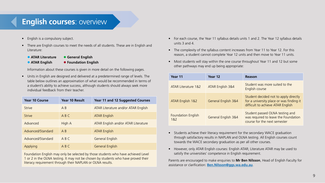# **English courses**: overview

- English is a compulsory subject.
- There are English courses to meet the needs of all students. These are in English and Literature:
	- **ATAR Literature General English**
	-
	- **ATAR English Foundation English**

Information about these courses is given in more detail on the following pages.

• Units in English are designed and delivered at a predetermined range of levels. The table below outlines an approximation of what would be recommended in terms of a student's ability to achieve success, although students should always seek more individual feedback from their teacher.

| <b>Year 10 Course</b> | Year 10 Result | Year 11 and 12 Suggested Courses    |
|-----------------------|----------------|-------------------------------------|
| <b>Strive</b>         | A B            | ATAR Literature and/or ATAR English |
| <b>Strive</b>         | ABC            | <b>ATAR English</b>                 |
| Advanced              | High A         | ATAR English and/or ATAR Literature |
| Advanced/Standard     | A <sub>R</sub> | <b>ATAR English</b>                 |
| Advanced/Standard     | ABC            | General English                     |
| Applying              | A B C          | General English                     |

Foundation English may only be selected by those students who have achieved Level 1 or 2 in the OLNA testing. It may not be chosen by students who have proved their literacy requirement through their NAPLAN or OLNA results.

- For each course, the Year 11 syllabus details units 1 and 2. The Year 12 syllabus details units 3 and 4.
- The complexity of the syllabus content increases from Year 11 to Year 12. For this reason, a student cannot complete Year 12 units and then move to Year 11 units.
- Most students will stay within the one course throughout Year 11 and 12 but some other pathways may end up being appropriate:

| Year 11                          | Year 12             | Reason                                                                                                                 |
|----------------------------------|---------------------|------------------------------------------------------------------------------------------------------------------------|
| ATAR Literature 1&2              | ATAR English 3&4    | Student was more suited to the<br>English course                                                                       |
| ATAR English 1&2                 | General English 3&4 | Student decided not to apply directly<br>for a university place or was finding it<br>difficult to achieve ATAR English |
| <b>Foundation English</b><br>1&2 | General English 3&4 | Student passed OLNA testing and<br>was required to leave the Foundation<br>course for the next semester                |

- Students achieve their literacy requirement for the secondary WACE graduation through satisfactory results in NAPLAN and OLNA testing. All English courses count towards the WACE secondary graduation as per all other courses.
- However, only ATAR English courses: English ATAR; Literature ATAR may be used to satisfy the universities' competence in English requirement.

Parents are encouraged to make enquiries to **Mr Ben Nilsson**, Head of English Faculty for assistance or clarification: **[Ben.Nilsson@ggs.wa.edu.au](mailto:Ben.Nilsson%40ggs.wa.edu.au?subject=)**.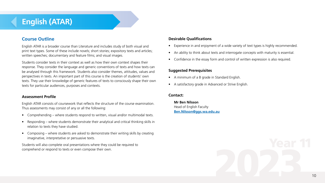# **English (ATAR)**

# **Course Outline**

English ATAR is a broader course than Literature and includes study of both visual and print text types. Some of these include novels; short stories; expository texts and articles; written speeches; documentary and feature films; and visual images.

Students consider texts in their context as well as how their own context shapes their response. They consider the language and generic conventions of texts and how texts can be analysed through this framework. Students also consider themes, attitudes, values and perspectives in texts. An important part of this course is the creation of students' own texts. They use their knowledge of generic features of texts to consciously shape their own texts for particular audiences, purposes and contexts.

#### **Assessment Profile**

English ATAR consists of coursework that reflects the structure of the course examination. Thus assessments may consist of any or all the following:

- Comprehending where students respond to written, visual and/or multimodal texts.
- Responding where students demonstrate their analytical and critical thinking skills in relation to texts they have studied.
- Composing where students are asked to demonstrate their writing skills by creating imaginative, interpretative or persuasive texts.

Students will also complete oral presentations where they could be required to comprehend or respond to texts or even compose their own.

# **Desirable Qualifications**

- Experience in and enjoyment of a wide variety of text types is highly recommended.
- An ability to think about texts and interrogate concepts with maturity is essential.
- Confidence in the essay form and control of written expression is also required.

## **Suggested Prerequisites**

- A minimum of a B grade in Standard English.
- A satisfactory grade in Advanced or Strive English.

#### **Contact:**

**Mr Ben Nilsson** Head of English Faculty **[Ben.Nilsson@ggs.wa.edu.au](mailto:Ben.Nilsson%40ggs.wa.edu.au?subject=)**

10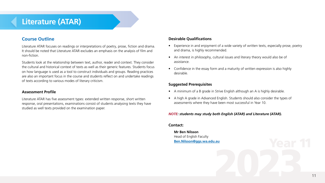# **Literature (ATAR)**

# **Course Outline**

Literature ATAR focuses on readings or interpretations of poetry, prose, fiction and drama. It should be noted that Literature ATAR excludes an emphasis on the analysis of film and non-fiction.

Students look at the relationship between text, author, reader and context. They consider the cultural and historical context of texts as well as their generic features. Students focus on how language is used as a tool to construct individuals and groups. Reading practices are also an important focus in the course and students reflect on and undertake readings of texts according to various modes of literary criticism.

#### **Assessment Profile**

Literature ATAR has five assessment types: extended written response, short written response, oral presentations, examinations consist of students analysing texts they have studied as well texts provided on the examination paper.

# **Desirable Qualifications**

- Experience in and enjoyment of a wide variety of written texts, especially prose, poetry and drama, is highly recommended.
- An interest in philosophy, cultural issues and literary theory would also be of assistance.
- Confidence in the essay form and a maturity of written expression is also highly desirable.

# **Suggested Prerequisites**

- A minimum of a B grade in Strive English although an A is highly desirable.
- A high A grade in Advanced English. Students should also consider the types of assessments where they have been most successful in Year 10.

## *NOTE: students may study both English (ATAR) and Literature (ATAR).*

#### **Contact:**

**Mr Ben Nilsson** Head of English Faculty **[Ben.Nilsson@ggs.wa.edu.au](mailto:Ben.Nilsson%40ggs.wa.edu.au?subject=)**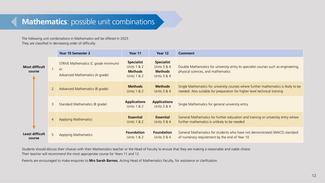# **Mathematics**: possible unit combinations

The following unit combinations in Mathematics will be offered in 2023. They are classified in decreasing order of difficulty.

|                                 |                | Year 10 Semester 2                                                                  | Year 11                                                                                 | Year 12                                                                      | Comment                                                                                                                                                          |
|---------------------------------|----------------|-------------------------------------------------------------------------------------|-----------------------------------------------------------------------------------------|------------------------------------------------------------------------------|------------------------------------------------------------------------------------------------------------------------------------------------------------------|
| <b>Most difficult</b><br>course |                | STRIVE Mathematics (C grade minimum)<br><b>or</b><br>Advanced Mathematics (A grade) | <b>Specialist</b><br><b>Units 1 &amp; 2</b><br><b>Methods</b><br><b>Units 1 &amp; 2</b> | <b>Specialist</b><br>Units 3 & 4<br><b>Methods</b><br><b>Units 3 &amp; 4</b> | Double Mathematics for university entry to specialist courses such as engineering,<br>physical sciences, and mathematics                                         |
|                                 | $\overline{2}$ | Advanced Mathematics (B grade)                                                      | <b>Methods</b><br>Units 1 & 2                                                           | <b>Methods</b><br>Units 3 & 4                                                | Single Mathematics for university courses where further mathematics is likely to be<br>needed. Also suitable for preparation for higher level technical training |
|                                 | 3              | Standard Mathematics (B grade)                                                      | <b>Applications</b><br>Units 1 & 2                                                      | <b>Applications</b><br>Units $3 & 4$                                         | Single Mathematics for general university entry                                                                                                                  |
|                                 | 4              | <b>Applying Mathematics</b>                                                         | <b>Essential</b><br><b>Units 1 &amp; 2</b>                                              | <b>Essential</b><br>Units $3 & 4$                                            | General Mathematics for further education and training or university entry where<br>further mathematics is unlikely to be needed                                 |
| Least difficult<br>course       | 5              | <b>Applying Mathematics</b>                                                         | <b>Foundation</b><br>Units 1 & 2                                                        | <b>Foundation</b><br>Units $3 & 4$                                           | General Mathematics for students who have not demonstrated (WACE) standard<br>of numeracy requirement by the end of Year 10                                      |

Students should discuss their choices with their Mathematics teacher or the Head of Faculty to ensure that they are making a reasonable and viable choice. Their teacher will recommend the most appropriate course for Years 11 and 12.

Parents are encouraged to make enquiries to **[Mrs Sarah Barnes](mailto:Sarah.Barnes%40ggs.wa.edu.au?subject=)**, Acting Head of Mathematics Faculty, for assistance or clarification.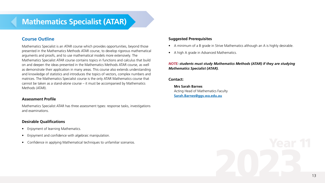# **Mathematics Specialist (ATAR)**

# **Course Outline**

Mathematics Specialist is an ATAR course which provides opportunities, beyond those presented in the Mathematics Methods ATAR course, to develop rigorous mathematical arguments and proofs, and to use mathematical models more extensively. The Mathematics Specialist ATAR course contains topics in functions and calculus that build on and deepen the ideas presented in the Mathematics Methods ATAR course, as well as demonstrate their application in many areas. This course also extends understanding and knowledge of statistics and introduces the topics of vectors, complex numbers and matrices. The Mathematics Specialist course is the only ATAR Mathematics course that cannot be taken as a stand-alone course – it must be accompanied by Mathematics Methods (ATAR).

#### **Assessment Profile**

Mathematics Specialist ATAR has three assessment types: response tasks, investigations and examinations.

#### **Desirable Qualifications**

- Enjoyment of learning Mathematics.
- Enjoyment and confidence with algebraic manipulation.
- Confidence in applying Mathematical techniques to unfamiliar scenarios.

## **Suggested Prerequisites**

- A minimum of a B grade in Strive Mathematics although an A is highly desirable.
- A high A grade in Advanced Mathematics.

## *NOTE: students must study Mathematics Methods (ATAR) if they are studying Mathematics Specialist (ATAR).*

#### **Contact:**

**Mrs Sarah Barnes** Acting Head of Mathematics Faculty **Sarah.Barnes[@ggs.wa.edu.au](mailto:Sarah.Barnes%40ggs.wa.edu.au?subject=)**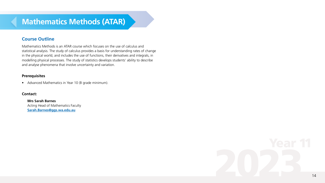# **Course Outline**

Mathematics Methods is an ATAR course which focuses on the use of calculus and statistical analysis. The study of calculus provides a basis for understanding rates of change in the physical world, and includes the use of functions, their derivatives and integrals, in modelling physical processes. The study of statistics develops students' ability to describe and analyse phenomena that involve uncertainty and variation.

# **Prerequisites**

• Advanced Mathematics in Year 10 (B grade minimum).

## **Contact:**

**Mrs Sarah Barnes** Acting Head of Mathematics Faculty **Sarah.Barne[s@ggs.wa.edu.au](mailto:Sarah.Barnes%40ggs.wa.edu.au?subject=)**

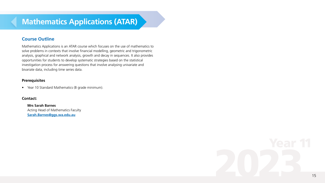# **Mathematics Applications (ATAR)**

# **Course Outline**

Mathematics Applications is an ATAR course which focuses on the use of mathematics to solve problems in contexts that involve financial modelling, geometric and trigonometric analysis, graphical and network analysis, growth and decay in sequences. It also provides opportunities for students to develop systematic strategies based on the statistical investigation process for answering questions that involve analysing univariate and bivariate data, including time series data.

# **Prerequisites**

• Year 10 Standard Mathematics (B grade minimum).

# **Contact:**

**Mrs Sarah Barnes** Acting Head of Mathematics Faculty **Sarah.Barne[s@ggs.wa.edu.au](mailto:Sarah.Barnes%40ggs.wa.edu.au?subject=)**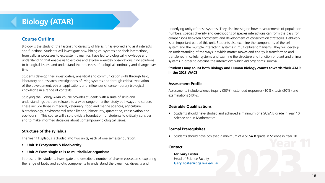# **Biology (ATAR)**

# **Course Outline**

Biology is the study of the fascinating diversity of life as it has evolved and as it interacts and functions. Students will investigate how biological systems and their interactions, from cellular processes to ecosystem dynamics, have led to biological knowledge and understanding that enable us to explore and explain everyday observations, find solutions to biological issues, and understand the processes of biological continuity and change over time.

Students develop their investigative, analytical and communication skills through field, laboratory and research investigations of living systems and through critical evaluation of the development, ethics, applications and influences of contemporary biological knowledge in a range of contexts.

Studying the Biology ATAR course provides students with a suite of skills and understandings that are valuable to a wide range of further study pathways and careers. These include those in medical, veterinary, food and marine sciences, agriculture, biotechnology, environmental rehabilitation, biosecurity, quarantine, conservation and eco-tourism. This course will also provide a foundation for students to critically consider and to make informed decisions about contemporary biological issues.

# **Structure of the syllabus**

The Year 11 syllabus is divided into two units, each of one semester duration.

- **Unit 1: Ecosystems & Biodiversity**
- **Unit 2: From single cells to multicellular organisms**

In these units, students investigate and describe a number of diverse ecosystems, exploring the range of biotic and abiotic components to understand the dynamics, diversity and

underlying unity of these systems. They also investigate how measurements of population numbers, species diversity and descriptions of species interactions can form the basis for comparisons between ecosystems and development of conservation strategies. Fieldwork is an important part of this unit. Students also examine the components of the cell system and the multiple interacting systems in multicellular organisms. They will develop an understanding of the ways in which matter moves and energy is transformed and transferred in cellular systems and examine the structure and function of plant and animal systems in order to describe the interactions which aid organisms' survival.

# **Students may count both Biology and Human Biology counts towards their ATAR in the 2023 WACE**.

# **Assessment Profile**

Assessments include science inquiry (30%), extended responses (10%), tests (20%) and examinations (40%).

# **Desirable Qualifications**

• Students should have studied and achieved a minimum of a SCSA B grade in Year 10 Science and in Mathematics.

# **Formal Prerequisites**

• Students should have achieved a minimum of a SCSA B grade in Science in Year 10

#### **Contact:**

**Mr Gary Foster** Head of Science Faculty **[Gary.Foster@ggs.wa.edu.au](mailto:Gary.Foster%40ggs.wa.edu.au?subject=)**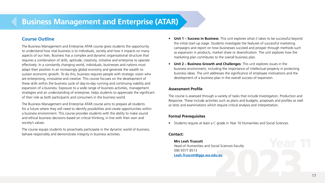# **Business Management and Enterprise (ATAR)**

# **Course Outline**

The Business Management and Enterprise ATAR course gives students the opportunity to understand how vital business is to individuals, society and how it impacts on many aspects of our lives. Business has a complex and dynamic organisational structure that requires a combination of skills, aptitude, creativity, initiative and enterprise to operate effectively. In a constantly changing world, individuals, businesses and nations must adapt their position in an increasingly global economy and generate the wealth to sustain economic growth. To do this, business requires people with strategic vision who are enterprising, innovative and creative. This course focuses on the development of these skills within the business cycle of day-to-day running and continuing viability and expansion of a business. Exposure to a wide range of business activities, management strategies and an understanding of enterprise, helps students to appreciate the significant of their role as both participants and consumers in the business world.

The Business Management and Enterprise ATAR course aims to prepare all students for a future where they will need to identify possibilities and create opportunities within a business environment. This course provides students with the ability to make sound and ethical business decisions based on critical thinking, in line with their own and society's values.

The course equips students to proactively participate in the dynamic world of business, behave responsibly and demonstrate integrity in business activities.

- **• Unit 1 Success in Business**: This unit explores what it takes to be successful beyond the initial start-up stage. Students investigate the features of successful marketing campaigns and report on how businesses succeed and prosper through methods such as expansion in products, market share or diversification. The unit explores how the marketing plan contributes to the overall business plan.
- **• Unit 2 Business Growth and Challenges**: This unit explores issues in the business environment, including the importance of intellectual property in protecting business ideas. The unit addresses the significance of employee motivations and the development of a business plan in the overall success of expansion.

# **Assessment Profile**

The course is assessed through a variety of tasks that include Investigation, Production and Response. These include activities such as plans and budgets, proposals and profiles as well as tests and examinations which require critical analysis and interpretation.

# **Formal Prerequisites**

• Students require at least a C grade in Year 10 Humanities and Social Sciences.

# **Contact:**

**Mrs Leah Truscott** Head of Humanities and Social Sciences Faculty (08) 9377 8513 **[Leah.Truscott@ggs.wa.edu.au](mailto:Leah.Truscott%40ggs.wa.edu.au?subject=)**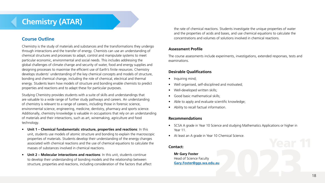# **Chemistry (ATAR)**

# **Course Outline**

Chemistry is the study of materials and substances and the transformations they undergo through interactions and the transfer of energy. Chemists can use an understanding of chemical structures and processes to adapt, control and manipulate systems to meet particular economic, environmental and social needs. This includes addressing the global challenges of climate change and security of water, food and energy supplies and designing processes to maximise the efficient use of Earth's finite resources. Chemistry develops students' understanding of the key chemical concepts and models of structure, bonding and chemical change, including the role of chemical, electrical and thermal energy. Students learn how models of structure and bonding enable chemists to predict properties and reactions and to adapt these for particular purposes.

Studying Chemistry provides students with a suite of skills and understandings that are valuable to a wide range of further study pathways and careers. An understanding of chemistry is relevant to a range of careers, including those in forensic science, environmental science, engineering, medicine, dentistry, pharmacy and sports science. Additionally, chemistry knowledge is valuable in occupations that rely on an understanding of materials and their interactions, such as art, winemaking, agriculture and food technology.

- **• Unit 1 Chemical fundamentals: structure, properties and reactions**: In this unit, students use models of atomic structure and bonding to explain the macroscopic properties of materials. Students develop their understanding of the energy changes associated with chemical reactions and the use of chemical equations to calculate the masses of substances involved in chemical reactions.
- **• Unit 2 Molecular interactions and reactions**: In this unit, students continue to develop their understanding of bonding models and the relationship between structure, properties and reactions, including consideration of the factors that affect

the rate of chemical reactions. Students investigate the unique properties of water and the properties of acids and bases, and use chemical equations to calculate the concentrations and volumes of solutions involved in chemical reactions.

# **Assessment Profile**

The course assessments include experiments, investigations, extended responses, tests and examinations.

# **Desirable Qualifications**

- Inquiring mind;
- Well organised, self-disciplined and motivated;
- Well-developed written skills;
- Good basic mathematical skills;
- Able to apply and evaluate scientific knowledge;
- Ability to recall factual information.

# **Recommendations**

- SCSA A grade in Year 10 Science and studying Mathematics Applications or higher in Year 11.
- At least an A grade in Year 10 Chemical Science.

## **Contact:**

**Mr Gary Foster** Head of Science Faculty **[Gary.Foster@ggs.wa.edu.au](mailto:Gary.Foster%40ggs.wa.edu.au?subject=)**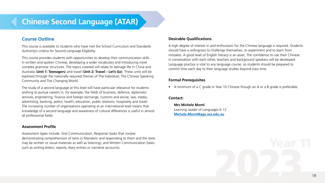# **Chinese Second Language (ATAR)**

# **Course Outline**

This course is available to students who have met the School Curriculum and Standards Authority's criteria for Second Language Eligibility.

This course provides students with opportunities to develop their communication skills in written and spoken Chinese, developing a wider vocabulary and introducing more complex grammar structures. The topics covered will relate to teenage life in China and Australia (**Unit 1: Teenagers**) and travel (**Unit 2: Travel – Let's Go**). These units will be explored through the nationally required themes of The Individual, The Chinese Speaking Community and The Changing World.

The study of a second language at this level will have particular relevance for students wishing to pursue careers in, for example, the fields of business, defence, diplomatic services, engineering, finance and foreign exchange, customs and excise, law, media, advertising, banking, police, health, education, public relations, hospitality and travel. The increasing number of organisations operating at an international level means that knowledge of a second language and awareness of cultural differences is useful in almost all professional fields.

#### **Assessment Profile**

Assessment types include: Oral Communication, Response (tasks that involve demonstrating comprehension of texts in Mandarin and responding to them and the texts may be written or visual materials as well as listening), and Written Communication (tasks such as writing letters, reports, diary entries or narrative accounts).

# **Desirable Qualifications**

A high degree of interest in and enthusiasm for the Chinese language is required. Students should have a willingness to challenge themselves, to experiment and to learn from mistakes. A good level of English literacy is an asset. The confidence to use their Chinese in conversation with each other, teachers and background speakers will be developed. Language practice is vital to any language course, so students should be prepared to commit time each day to their language studies beyond class time.

# **Formal Prerequisites**

• A minimum of a C grade in Year 10 Chinese though an A or a B grade is preferable.

# **Contact:**

**Mrs Michele Monti** Learning Leader of Languages K-12 **Michele.Monti[@ggs.wa.edu.au](mailto:Michele.Monti%40ggs.wa.edu.au?subject=)**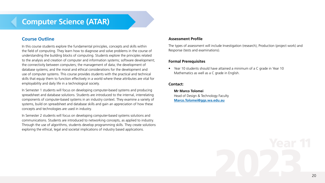# **Computer Science (ATAR)**

# **Course Outline**

In this course students explore the fundamental principles, concepts and skills within the field of computing. They learn how to diagnose and solve problems in the course of understanding the building blocks of computing. Students explore the principles related to the analysis and creation of computer and information systems; software development; the connectivity between computers; the management of data; the development of database systems; and the moral and ethical considerations for the development and use of computer systems. This course provides students with the practical and technical skills that equip them to function effectively in a world where these attributes are vital for employability and daily life in a technological society.

In Semester 1 students will focus on developing computer-based systems and producing spreadsheet and database solutions. Students are introduced to the internal, interrelating components of computer-based systems in an industry context. They examine a variety of systems, build on spreadsheet and database skills and gain an appreciation of how these concepts and technologies are used in industry.

In Semester 2 students will focus on developing computer-based systems solutions and communications. Students are introduced to networking concepts, as applied to industry. Through the use of algorithms, students develop programming skills. They create solutions exploring the ethical, legal and societal implications of industry based applications.

# **Assessment Profile**

The types of assessment will include Investigation (research), Production (project work) and Response (tests and examinations).

# **Formal Prerequisites**

• Year 10 students should have attained a minimum of a C grade in Year 10 Mathematics as well as a C grade in English.

# **Contact:**

**Mr Marco Tolomei** Head of Design & Technology Faculty **[Marco.Tolomei@ggs.wa.edu.au](mailto:Marco.Tolomei%40ggs.wa.edu.au?subject=)**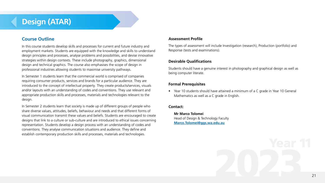# **Design (ATAR)**

# **Course Outline**

In this course students develop skills and processes for current and future industry and employment markets. Students are equipped with the knowledge and skills to understand design principles and processes, analyse problems and possibilities, and devise innovative strategies within design contexts. These include photography, graphics, dimensional design and technical graphics. The course also emphasises the scope of design in professional industries allowing students to maximise university pathways.

In Semester 1 students learn that the commercial world is comprised of companies requiring consumer products, services and brands for a particular audience. They are introduced to the concept of intellectual property. They create products/services, visuals and/or layouts with an understanding of codes and conventions. They use relevant and appropriate production skills and processes, materials and technologies relevant to the design.

In Semester 2 students learn that society is made up of different groups of people who share diverse values, attitudes, beliefs, behaviour and needs and that different forms of visual communication transmit these values and beliefs. Students are encouraged to create designs that link to a culture or sub-culture and are introduced to ethical issues concerning representation. Students develop a design process with an understanding of codes and conventions. They analyse communication situations and audience. They define and establish contemporary production skills and processes, materials and technologies.

## **Assessment Profile**

The types of assessment will include Investigation (research), Production (portfolio) and Response (tests and examinations).

## **Desirable Qualifications**

Students should have a genuine interest in photography and graphical design as well as being computer literate.

# **Formal Prerequisites**

• Year 10 students should have attained a minimum of a C grade in Year 10 General Mathematics as well as a C grade in English.

## **Contact:**

**Mr Marco Tolomei** Head of Design & Technology Faculty **[Marco.Tolomei@ggs.wa.edu.au](mailto:Marco.Tolomei%40ggs.wa.edu.au?subject=)**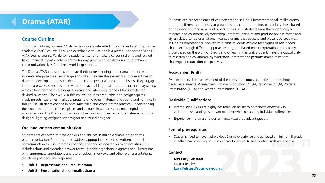# **Drama (ATAR)**

# **Course Outline**

This is the pathway for Year 11 students who are interested in Drama and are suited for an academic WACE course. This is an examinable course and is a prerequisite for the Year 12 ATAR Drama course. While some students intend to make a career in drama and related fields, many also participate in drama for enjoyment and satisfaction and to enhance communication skills for all real world experiences.

The Drama ATAR course focuses on aesthetic understanding and drama in practice as students integrate their knowledge and skills. They use the elements and conventions of drama to develop and present ideas and explore personal and cultural issues. They engage in drama processes such as improvisation, play building, text interpretation and playwriting which allow them to create original drama and interpret a range of texts written or devised by others. Their work in this course includes production and design aspects involving sets, costumes, makeup, props, promotional materials and sound and lighting. In this course, students engage in both Australian and world drama practice, understanding the experience of other times, places and cultures in an accessible, meaningful and enjoyable way. The Drama course covers the following roles: actor, dramaturge, costume designer, lighting designer, set designer and sound designer:

# **Oral and written communication**

Students are expected to develop skills and abilities in multiple drama-based forms of communication. Students are to address appropriate aspects of written and oral communication through drama in performance and associated learning activities. This includes short and extended answer forms, graphic organisers, diagrams and illustrations with appropriate annotations and use of colour, interviews and other oral presentations, structuring of ideas and responses.

- **Unit 1 Representational, realist drama**
- **Unit 2 Presentational, non-realist drama**

Students explore techniques of characterisation in Unit 1 Representational, realist drama, through different approaches to group based text interpretation, particularly those based on the work of Stanislavski and others. In this unit, students have the opportunity to research and collaboratively workshop, interpret, perform and produce texts in forms and styles related to representational, realistic drama that educate and present perspectives. In Unit 2 Presentational, non-realist drama, students explore techniques of role and/or character through different approaches to group based text interpretation, particularly those based on the work of Brecht and others. In this unit, students have the opportunity to research and collaboratively workshop, interpret and perform drama texts that challenge and question perspectives.

## **Assessment Profile**

Evidence of levels of achievement of the course outcomes are derived from school based assessments. Assessments involve: Production (40%), Response (40%), Practical Examination (10%) and Written Examination (10%).

# **Desirable Qualifications**

- Interpersonal skills are highly desirable, an ability to participate effectively in collaborative learning as a team member while respecting individual differences.
- Experience in drama and performance would be advantageous.

# **Formal pre-requisites**

• Students need to have had previous Drama experience and achieved a minimum B grade in either Drama or English. Essay and/or Extended Answer writing skills are essential.

#### **Contact:**

**Mrs Lucy Felstead** Drama Teacher **[Lucy.Felstead@ggs.wa.edu.au](mailto:Lucy.Felstead%40ggs.wa.edu.au?subject=)**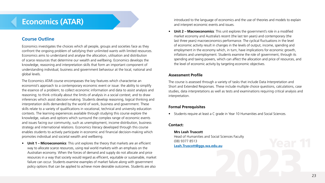# **Economics (ATAR)**

# **Course Outline**

Economics investigates the choices which all people, groups and societies face as they confront the ongoing problem of satisfying their unlimited wants with limited resources. Economics aims to understand and analyse the allocation, utilisation and distribution of scarce resources that determine our wealth and wellbeing. Economics develops the knowledge, reasoning and interpretation skills that form an important component of understanding individual, business and government behaviour at the local, national and global levels.

The Economics ATAR course encompasses the key features which characterise an economist's approach to a contemporary economic event or issue: the ability to simplify the essence of a problem; to collect economic information and data to assist analysis and reasoning; to think critically about the limits of analysis in a social context; and to draw inferences which assist decision-making. Students develop reasoning, logical thinking and interpretation skills demanded by the world of work, business and government. These skills relate to a variety of qualifications in vocational, technical and university education contexts. The learning experiences available through studying this course explore the knowledge, values and options which surround the complex range of economic events and issues facing our community, such as unemployment, income distribution, business strategy and international relations. Economics literacy developed through this course enables students to actively participate in economic and financial decision-making which promotes individual and societal wealth and wellbeing.

• **Unit 1 – Microeconomics**: This unit explores the theory that markets are an efficient way to allocate scarce resources, using real world markets with an emphasis on the Australian economy. When the forces of demand and supply do not allocate and price resources in a way that society would regard as efficient, equitable or sustainable, market failure can occur. Students examine examples of market failure along with government policy options that can be applied to achieve more desirable outcomes. Students are also

introduced to the language of economics and the use of theories and models to explain and interpret economic events and issues.

• **Unit 2 – Macroeconomics**: This unit explores the government's role in a modified market economy and Australia's recent (the last ten years) and contemporary (the last three years) macroeconomics performance. The cyclical fluctuations in the level of economic activity result in changes in the levels of output, income, spending and employment in the economy which, in turn, have implications for economic growth, inflations and unemployment. Students examine the role of government, through its spending and taxing powers, which can affect the allocation and price of resources, and the level of economic activity by targeting economic objectives.

# **Assessment Profile**

The course is assessed through a variety of tasks that include Data Interpretation and Short and Extended Responses. These include multiple choice questions, calculations, case studies, data interpretations as well as tests and examinations requiring critical analysis and interpretation.

# **Formal Prerequisites**

• Students require at least a C grade in Year 10 Humanities and Social Sciences.

# **Contact:**

**Mrs Leah Truscott** Head of Humanities and Social Sciences Faculty (08) 9377 8513 **[Leah.Truscott@ggs.wa.edu.au](mailto:Leah.Truscott%40ggs.wa.edu.au?subject=)**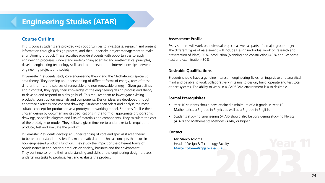# **Engineering Studies (ATAR)**

# **Course Outline**

In this course students are provided with opportunities to investigate, research and present information through a design process, and then undertake project management to make a functioning product. These activities provide students with opportunities to apply engineering processes, understand underpinning scientific and mathematical principles, develop engineering technology skills and to understand the interrelationships between engineering projects and society.

In Semester 1 students study core engineering theory and the Mechatronics specialist area theory. They develop an understanding of different forms of energy, uses of these different forms, and sources of renewable and non-renewable energy. Given quidelines and a context, they apply their knowledge of the engineering design process and theory to develop and respond to a design brief. This requires them to investigate existing products, construction materials and components. Design ideas are developed through annotated sketches and concept drawings. Students then select and analyse the most suitable concept for production as a prototype or working model. Students finalise their chosen design by documenting its specifications in the form of appropriate orthographic drawings, specialist diagram and lists of materials and components. They calculate the cost of the prototype or model. They follow a given timeline to undertake tasks required to produce, test and evaluate the product.

In Semester 2 students develop an understanding of core and specialist area theory to better understand the scientific, mathematical and technical concepts that explain how engineered products function. They study the impact of the different forms of obsolescence in engineering products on society, business and the environment. They continue to refine their understanding and skills of the engineering design process, undertaking tasks to produce, test and evaluate the product.

## **Assessment Profile**

Every student will work on individual projects as well as parts of a major group project. The different types of assessment will include Design (individual work on research and presentation of ideas) 30%, production (planning and construction) 40% and Response (test and examination) 30%

# **Desirable Qualifications**

Students should have a genuine interest in engineering fields, an inquisitive and analytical mind and be able to work collaboratively in teams to design, build, operate and test total or part systems. The ability to work in a CAD/CAM environment is also desirable.

# **Formal Prerequisites**

- Year 10 students should have attained a minimum of a B grade in Year 10 Mathematics, a B grade in Physics as well as a B grade in English.
- Students studying Engineering (ATAR) should also be considering studying Physics (ATAR) and Mathematics Methods (ATAR) or higher.

# **Contact:**

**Mr Marco Tolomei** Head of Design & Technology Faculty **[Marco.Tolomei@ggs.wa.edu.au](mailto:Marco.Tolomei%40ggs.wa.edu.au?subject=)**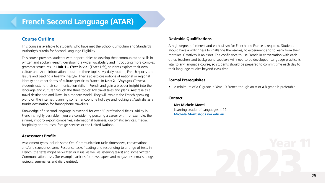# **French Second Language (ATAR)**

# **Course Outline**

This course is available to students who have met the School Curriculum and Standards Authority's criteria for Second Language Eligibility.

This course provides students with opportunities to develop their communication skills in written and spoken French, developing a wider vocabulary and introducing more complex grammar structures. In **Unit 1 – C'est la vie!** (That's Life), students explore their own culture and share information about the three topics: My daily routine, French sports and leisure and Leading a healthy lifestyle. They also explore notions of national or regional identity and other forms of culture specific to France. In **Unit 2 – Voyages** (Travels), students extend their communication skills in French and gain a broader insight into the language and culture through the three topics: My travel tales and plans, Australia as a travel destination and Travel in a modern world. They will explore the French-speaking world on the internet, planning some francophone holidays and looking at Australia as a tourist destination for francophone travellers.

Knowledge of a second language is essential for over 60 professional fields. Ability in French is highly desirable if you are considering pursuing a career with, for example, the airlines, import- export companies, international business, diplomatic services, media, hospitality and tourism, foreign services or the United Nations.

#### **Assessment Profile**

Assessment types include some Oral Communication tasks (interviews, conversations and/or discussions), some Response tasks (reading and responding to a range of texts in French; the texts might be written or visual as well as listening tasks) and some Written Communication tasks (for example, articles for newspapers and magazines, emails, blogs, reviews, summaries and diary entries).

## **Desirable Qualifications**

A high degree of interest and enthusiasm for French and France is required. Students should have a willingness to challenge themselves, to experiment and to learn from their mistakes. Creativity is an asset. The confidence to use French in conversation with each other, teachers and background speakers will need to be developed. Language practice is vital to any language course, so students should be prepared to commit time each day to their language studies beyond class time.

#### **Formal Prerequisites**

• A minimum of a C grade in Year 10 French though an A or a B grade is preferable.

#### **Contact:**

**Mrs Michele Monti** Learning Leader of Languages K-12 **Michele.Monti[@ggs.wa.edu.au](mailto:Michele.Monti%40ggs.wa.edu.au?subject=)**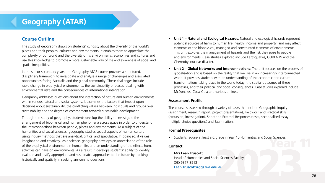# **Geography (ATAR)**

# **Course Outline**

The study of geography draws on students' curiosity about the diversity of the world's places and their peoples, cultures and environments. It enables them to appreciate the complexity of our world and the diversity of its environments, economies and cultures and use this knowledge to promote a more sustainable way of life and awareness of social and spatial inequalities.

In the senior secondary years, the Geography ATAR course provides a structured, disciplinary framework to investigate and analyse a range of challenges and associated opportunities facing Australia and the global community. These challenges include rapid change in biophysical environments, the sustainability of places, dealing with environmental risks and the consequences of international integration.

Geography addresses questions about the interaction of nature and human environments within various natural and social systems. It examines the factors that impact upon decisions about sustainability, the conflicting values between individuals and groups over sustainability and the degree of commitment towards sustainable development.

Through the study of geography, students develop the ability to investigate the arrangement of biophysical and human phenomena across space in order to understand the interconnections between people, places and environments. As a subject of the humanities and social sciences, geography studies spatial aspects of human culture using inquiry methods that are analytical, critical and speculative. In doing so, it values imagination and creativity. As a science, geography develops an appreciation of the role of the biophysical environment in human life, and an understanding of the effects human activities can have on environments. As a result, it develops students' ability to identify, evaluate and justify appropriate and sustainable approaches to the future by thinking historically and spatially in seeking answers to questions.

- **• Unit 1 Natural and Ecological Hazards**: Natural and ecological hazards represent potential sources of harm to human life, health, income and property, and may affect elements of the biophysical, managed and constructed elements of environments. This unit explores the management of hazards and the risk they pose to people and environments. Case studies explored include Earthquakes, COVID-19 and the Chernobyl nuclear disaster.
- **• Unit 2 Global Networks and Interconnections**: The unit focuses on the process of globalisation and is based on the reality that we live in an increasingly interconnected world. It provides students with an understanding of the economic and cultural transformations taking place in the world today, the spatial outcomes of these processes, and their political and social consequences. Case studies explored include McDonalds, Coca-Cola and various airlines.

# **Assessment Profile**

The course is assessed through a variety of tasks that include Geographic Inquiry (assignment, research report, project presentation), Fieldwork and Practical skills (excursion, investigation), Short and External Responses (tests, sectionalised essay, multiple-choice questions) and Examination.

# **Formal Prerequisites**

• Students require at least a C grade in Year 10 Humanities and Social Sciences.

## **Contact:**

**Mrs Leah Truscott** Head of Humanities and Social Sciences Faculty (08) 9377 8513 **[Leah.Truscott@ggs.wa.edu.au](mailto:Leah.Truscott%40ggs.wa.edu.au?subject=)**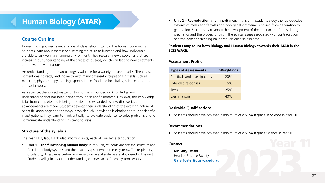# **Human Biology (ATAR)**

# **Course Outline**

Human Biology covers a wide range of ideas relating to how the human body works. Students learn about themselves, relating structure to function and how individuals are able to survive in a changing environment. They research new discoveries that are increasing our understanding of the causes of disease, which can lead to new treatments and preventative measures.

An understanding of human biology is valuable for a variety of career paths. The course content deals directly and indirectly with many different occupations in fields such as medicine, physiotherapy, nursing, sport science, food and hospitality, science education and social work.

As a science, the subject matter of this course is founded on knowledge and understanding that has been gained through scientific research. However, this knowledge is far from complete and is being modified and expanded as new discoveries and advancements are made. Students develop their understanding of the evolving nature of scientific knowledge and the ways in which such knowledge is obtained through scientific investigations. They learn to think critically, to evaluate evidence, to solve problems and to communicate understandings in scientific ways.

## **Structure of the syllabus**

The Year 11 syllabus is divided into two units, each of one semester duration.

• **Unit 1 – The functioning human body**: In this unit, students analyse the structure and function of body systems and the relationships between these systems. The respiratory, circulatory, digestive, excretory and musculo-skeletal systems are all covered in this unit. Students will gain a sound understanding of how each of these systems works.

• **Unit 2 – Reproduction and inheritance**: In this unit, students study the reproductive systems of males and females and how genetic material is passed from generation to generation. Students learn about the development of the embryo and foetus during pregnancy and the process of birth. The ethical issues associated with contraception and the genetic screening on individuals are also explored.

## **Students may count both Biology and Human Biology towards their ATAR in the 2023 WACE**.

# **Assessment Profile**

| <b>Types of Assessments</b>   | Weightings |
|-------------------------------|------------|
| Practicals and investigations | 20%        |
| Extended responses            | 15%        |
| Tests                         | 25%        |
| Examinations                  | 40%        |

# **Desirable Qualifications**

• Students should have achieved a minimum of a SCSA B grade in Science in Year 10.

# **Recommendations**

• Students should have achieved a minimum of a SCSA B grade Science in Year 10.

# **Contact:**

**Mr Gary Foster** Head of Science Faculty **[Gary.Foster@ggs.wa.edu.au](mailto:Gary.Foster%40ggs.wa.edu.au?subject=)**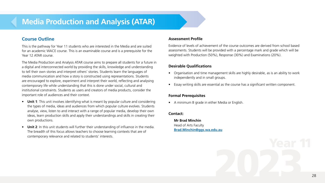# **Media Production and Analysis (ATAR)**

# **Course Outline**

This is the pathway for Year 11 students who are interested in the Media and are suited for an academic WACE course. This is an examinable course and is a prerequisite for the Year 12 ATAR course.

The Media Production and Analysis ATAR course aims to prepare all students for a future in a digital and interconnected world by providing the skills, knowledge and understanding to tell their own stories and interpret others' stories. Students learn the languages of media communication and how a story is constructed using representations. Students are encouraged to explore, experiment and interpret their world, reflecting and analysing contemporary life while understanding that this is done under social, cultural and institutional constraints. Students as users and creators of media products, consider the important role of audiences and their context.

- **Unit 1**: This unit involves identifying what is meant by popular culture and considering the types of media, ideas and audiences from which popular culture evolves. Students analyse, view, listen to and interact with a range of popular media, develop their own ideas, learn production skills and apply their understandings and skills in creating their own productions.
- **Unit 2**: In this unit students will further their understanding of influence in the media. The breadth of this focus allows teachers to choose learning contexts that are of contemporary relevance and related to students' interests.

#### **Assessment Profile**

Evidence of levels of achievement of the course outcomes are derived from school based assessments. Students will be provided with a percentage mark and grade which will be weighted with Production (50%), Response (30%) and Examinations (20%).

#### **Desirable Qualifications**

- Organisation and time management skills are highly desirable, as is an ability to work independently and in small groups.
- Essay writing skills are essential as the course has a significant written component.

# **Formal Prerequisites**

• A minimum B grade in either Media or English.

## **Contact:**

**Mr Brad Minchin**

Head of Arts Faculty **[Brad.Minchin@ggs.wa.edu.au](mailto:Brad.Minchin%40ggs.wa.edu.au?subject=)**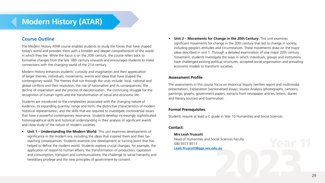# **Modern History (ATAR)**

# **Course Outline**

The Modern History ATAR course enables students to study the forces that have shaped today's world and provides them with a broader and deeper comprehension of the world in which they live. While the focus is on the 20th century, the course refers back to formative changes from the late 18th century onwards and encourages students to make connections with the changing world of the 21st century.

Modern History enhances students' curiosity and imagination and their appreciation of larger themes, individuals, movements, events and ideas that have shaped the contemporary world. The themes that run through the units include: local, national and global conflicts and their resolution, the rise of nationalism and its consequences; the decline of imperialism and the process of decolonisation, the continuing struggle for the recognition of human rights and the transformation of social and economic life.

Students are introduced to the complexities associated with the changing nature of evidence, its expanding quantity, range and form, the distinctive characteristics of modern historical representation, and the skills that are required to investigate controversial issues that have a powerful contemporary resonance. Students develop increasingly sophisticated historiographical skills and historical understanding in their analysis of significant events and close study of the nature of modern societies.

• **Unit 1 – Understanding the Modern World**: This unit examines developments of significance in the modern era, including the ideas that inspired them and their farreaching consequences. Students examine one development or turning point that has helped to define the modern world. Students explore crucial changes, for example, the application of reason to human affairs, the transformation of production, capitalism and consumption, transport and communications, the challenge to social hierarchy and hereditary privilege and the new principles of government by consent.

• **Unit 2 – Movements for Change in the 20th Century**: This unit examines significant movements for change in the 20th century that led to change in society, including people's attitudes and circumstances. These movements draw on the major ideas described in unit 1. Through a detailed examination of one major 20th century movement, students investigate the ways in which individuals, groups and institutions have challenged existing political structures, accepted social organisation and prevailing economic models to transform societies.

# **Assessment Profile**

The assessments in this course focus on Historical Inquiry (written report and multimodal presentation), Explanation (sectionalised essay), Source Analysis (photographs, cartoons, paintings, graphs, government papers, extracts from newspaper articles, letters, diaries and literary sources) and Examination.

# **Formal Prerequisites**

Students require at least a C grade in Year 10 Humanities and Social Sciences.

# **Contact:**

**Mrs Leah Truscott** Head of Humanities and Social Sciences Faculty (08) 9377 8513 **[Leah.Truscott@ggs.wa.edu.au](mailto:Leah.Truscott%40ggs.wa.edu.au?subject=)**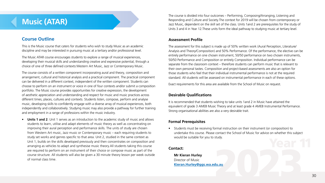# **Music (ATAR)**

# **Course Outline**

This is the Music course that caters for students who wish to study Music as an academic discipline and may be interested in pursuing music at a tertiary and/or professional level.

The Music ATAR course encourages students to explore a range of musical experiences, developing their musical skills and understanding creative and expressive potential, through a choice of one of three defined contexts:Western Art Music, Jazz or Contemporary Music.

The course consists of a written component incorporating aural and theory, composition and arrangement, cultural and historical analysis and a practical component. The practical component can be delivered in a different context, independent of the written component. Students can choose to perform on an instrument or voice in one of four contexts and/or submit a composition portfolio. The Music course provides opportunities for creative expression, the development of aesthetic appreciation and understanding and respect for music and music practices across different times, places, cultures and contexts. Students listen, compose, perform and analyse music, developing skills to confidently engage with a diverse array of musical experiences, both independently and collaboratively. Studying music may also provide a pathway for further training and employment in a range of professions within the music industry.

• **Units 1 and 2**: Unit 1 serves as an introduction to the academic study of music and allows students to learn, utilise and adapt elements of music theory as well as concentrating on improving their aural perception and performance skills. The units of study are chosen from Western Art music, Jazz music or Contemporary music – each requiring students to study set works and genres specific to that area. Unit 2, studied in the same context as Unit 1, builds on the skills developed previously and then concentrates on composition and arranging as vehicles to adapt and synthesise music theory.All students taking this course are required to perform on an instrument of their choice or compose music as part of the course structure. All students will also be given a 30 minute theory lesson per week outside of normal class time.

The course is divided into four outcomes – Performing, Composing/Arranging, Listening and Responding and Culture and Society.The context for 2019 will be chosen from contemporary or Jazz Music, dependent on the skill set of the class. Units 1and 2 are prerequisites for the study of Units 3 and 4 in Year 12.These units form the ideal pathway to studying music at tertiary level.

# **Assessment Profile**

The assessment for this subject is made up of 50% written work (Aural Perception, Literature/ Analysis and Theory/Composition) and 50% Performance. Of the performance, the elective can be entirely performance on one chosen instrument, 50/50 performance on two chosen instruments, 50/50 Performance and Composition or entirely Composition. Individual performance can be separate from the classroom context – therefore students can perform music that is relevant to their own personal tastes. Composition and project-based assessments are also an option for those students who feel that their individual instrumental performance is not at the required standard. All students will be assessed on instrumental performance in each of these options.

Exact requirements for this area are available from the School of Music on request.

# **Desirable Qualifications**

It is recommended that students wishing to take units 1and 2 in Music have attained the equivalent of grade 3 AMEB Music Theory and at least grade 4 AMEB Instrumental Performance. Strong organisational abilities are also a very desirable trait.

# **Formal Prerequisites**

• Students must be receiving formal instruction on their instrument (or composition) to undertake this course. Please contact the School of Music for advice on whether this subject would be suitable for you to study.

## **Contact:**

**Mr Kieran Hurley** Director of Music **[Kieran.Hurley@ggs.wa.edu.au](mailto:Kieran.Hurley%40ggs.wa.edu.au?subject=)**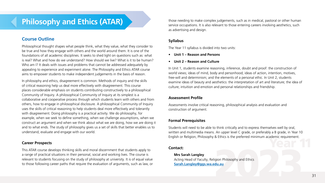# **Philosophy and Ethics (ATAR)**

# **Course Outline**

Philosophical thought shapes what people think, what they value, what they consider to be true and how they engage with others and the world around them. It is one of the foundations of all academic disciplines. It seeks to shed light on questions such as: what is real? What and how do we understand? How should we live? What is it to be human? Who am I? It deals with issues and problems that cannot be addressed adequately by appealing to experience and experiment alone. The Philosophy and Ethics ATAR course aims to empower students to make independent judgements in the basis of reason.

In philosophy and ethics, disagreement is common. Methods of inquiry and the skills of critical reasoning help us deal more effectively with disagreement. This course places considerable emphasis on students contributing constructively to a philosophical Community of Inquiry. A philosophical Community of Inquiry at its simplest is a collaborative and cooperative process through which students learn with others and from others, how to engage in philosophical disclosure. A philosophical Community of Inquiry uses the skills of critical reasoning to help students deal more effectively and tolerantly with disagreement. Doing philosophy is a practical activity. We do philosophy, for example, when we seek to define something, when we challenge assumptions, when we construct an argument and when we think about what we are doing, how we are doing it and to what ends. The study of philosophy gives us a set of skills that better enables us to understand, evaluate and engage with our world.

# **Career Prospects**

This ATAR course develops thinking skills and moral discernment that students apply to a range of practical situations in their personal, social and working lives. The course is relevant to students focusing on the study of philosophy at university. It is of equal value to those following career paths that require the evaluation of arguments, such as law, or

those needing to make complex judgements, such as in medical, pastoral or other human service occupations. It is also relevant to those entering careers involving aesthetics, such as advertising and design.

# **Syllabus**

The Year 11 syllabus is divided into two units:

- **Unit 1 Reason and Persons**
- **Unit 2 Reason and Culture**

In Unit 1, students examine reasoning, inference, doubt and proof: the construction of world views; ideas of mind, body and personhood; ideas of action, intention, motives, free-will and determinism; and the elements of a personal ethic. In Unit 2, students examine ideas of beauty and aesthetics: the interpretation of art and literature; the idea of culture; intuition and emotion and personal relationships and friendship.

# **Assessment Profile**

Assessments involve critical reasoning, philosophical analysis and evaluation and construction of argument.

# **Formal Prerequisites**

Students will need to be able to think critically and to express themselves well by oral, written and multimedia means. An upper level C grade, or preferably a B grade, in Year 10 English or Religion, Philosophy & Ethics is the preferred minimum academic requirement.

## **Contact:**

**Mrs Sarah Langley** Acting Head of Faculty, Religion Philosophy and Ethics **Sarah.Langle[y@ggs.wa.edu.au](mailto:Sarah.Langley%40ggs.wa.edu.au?subject=)**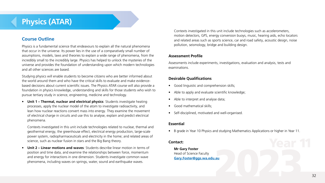# **Physics (ATAR)**

# **Course Outline**

Physics is a fundamental science that endeavours to explain all the natural phenomena that occur in the universe. Its power lies in the use of a comparatively small number of assumptions, models, laws and theories to explain a wide range of phenomena, from the incredibly small to the incredibly large. Physics has helped to unlock the mysteries of the universe and provides the foundation of understanding upon which modern technologies and all other sciences are based.

Studying physics will enable students to become citizens who are better informed about the world around them and who have the critical skills to evaluate and make evidencebased decisions about current scientific issues. The Physics ATAR course will also provide a foundation in physics knowledge, understanding and skills for those students who wish to pursue tertiary study in science, engineering, medicine and technology.

• **Unit 1 – Thermal, nuclear and electrical physics**: Students investigate heating processes, apply the nuclear model of the atom to investigate radioactivity, and lean how nuclear reactions convert mass into energy. They examine the movement of electrical charge in circuits and use this to analyse, explain and predict electrical phenomena.

Contexts investigated in this unit include technologies related to nuclear, thermal and geothermal energy, the greenhouse effect, electrical energy production, large-scale power system, radiopharmaceuticals and electricity in the home; and related areas of science, such as nuclear fusion in stars and the Big Bang theory.

• **Unit 2 – Linear motions and waves**: Students describe linear motion in terms of position and time data, and examine the relationships between force, momentum and energy for interactions in one dimension. Students investigate common wave phenomena, including waves on springs, water, sound and earthquake waves.

Contexts investigated in this unit include technologies such as accelerometers, motion detectors, GPS, energy conversion buoys, music, hearing aids, echo locators and related areas such as sports science, car and road safety, acoustic design, noise pollution, seismology, bridge and building design.

# **Assessment Profile**

Assessments include experiments, investigations, evaluation and analysis, tests and examinations.

# **Desirable Qualifications**

- Good linguistic and comprehension skills;
- Able to apply and evaluate scientific knowledge;
- Able to interpret and analyse data;
- Good mathematical skills;
- Self-disciplined, motivated and well-organised.

# **Essential**

• B grade in Year 10 Physics and studying Mathematics Applications or higher in Year 11.

# **Contact:**

**Mr Gary Foster** Head of Science Faculty **[Gary.Foster@ggs.wa.edu.au](mailto:Gary.Foster%40ggs.wa.edu.au?subject=)**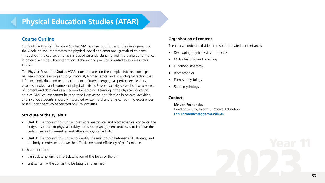# **Physical Education Studies (ATAR)**

# **Course Outline**

Study of the Physical Education Studies ATAR course contributes to the development of the whole person. It promotes the physical, social and emotional growth of students. Throughout the course, emphasis is placed on understanding and improving performance in physical activities. The integration of theory and practice is central to studies in this course.

The Physical Education Studies ATAR course focuses on the complex interrelationships between motor learning and psychological, biomechanical and physiological factors that influence individual and team performance. Students engage as performers, leaders, coaches, analysts and planners of physical activity. Physical activity serves both as a source of content and data and as a medium for learning. Learning in the Physical Education Studies ATAR course cannot be separated from active participation in physical activities and involves students in closely integrated written, oral and physical learning experiences, based upon the study of selected physical activities.

## **Structure of the syllabus**

- **Unit 1**: The focus of this unit is to explore anatomical and biomechanical concepts, the body's responses to physical activity and stress management processes to improve the performance of themselves and others in physical activity.
- **Unit 2**: The focus of this unit is to identify the relationship between skill, strategy and the body in order to improve the effectiveness and efficiency of performance.

Each unit includes:

- a unit description  $-$  a short description of the focus of the unit
- unit content the content to be taught and learned.

# **Organisation of content**

The course content is divided into six interrelated content areas:

- Developing physical skills and tactics
- Motor learning and coaching
- Functional anatomy
- **Biomechanics**
- Exercise physiology
- Sport psychology.

# **Contact:**

**Mr Len Fernandes** Head of Faculty, Health & Physical Education **[Len.Fernandes@ggs.wa.edu.au](mailto:Len.Fernandes%40ggs.wa.edu.au?subject=)**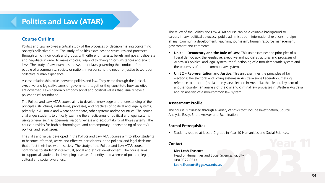# **Politics and Law (ATAR)**

# **Course Outline**

Politics and Law involves a critical study of the processes of decision making concerning society's collective future. The study of politics examines the structures and processes through which individuals and groups with different interests, beliefs and goals, deliberate and negotiate in order to make choices, respond to changing circumstances and enact laws. The study of law examines the system of laws governing the conduct of the people of a community, society or nation, in response to the need for justice based upon collective human experience.

A close relationship exists between politics and law. They relate through the judicial, executive and legislative arms of government; together they constitute how societies are governed. Laws generally embody social and political values that usually have a philosophical foundation.

The Politics and Law ATAR course aims to develop knowledge and understanding of the principles, structures, institutions, processes, and practices of political and legal systems, primarily in Australia and where appropriate, other systems and/or countries. The course challenges students to critically examine the effectiveness of political and legal systems using criteria, such as openness, responsiveness and accountability of those systems. The course provides for both a chronological and contemporary understanding of society's political and legal issues.

The skills and values developed in the Politics and Law ATAR course aim to allow students to become informed, active and effective participants in the political and legal decisions that affect their lives within society. The study of the Politics and Law ATAR course contributes to students' intellectual, social and ethical development. The course aims to support all students in developing a sense of identity, and a sense of political, legal, cultural and social awareness.

The study of the Politics and Law ATAR course can be a valuable background to careers in law, political advocacy, public administration, international relations, foreign affairs, community development, teaching, journalism, human resource management, government and commerce.

- **Unit 1 Democracy and the Rule of Law**: This unit examines the principles of a liberal democracy; the legislative, executive and judicial structures and processes of Australia's political and legal system; the functioning of a non-democratic system and the processes of a non-common law system.
- **Unit 2 Representation and Justice**: This unit examines the principles of fair elections; the electoral and voting systems in Australia since Federation, making reference to a recent (the last ten years) election in Australia; the electoral system of another country; an analysis of the civil and criminal law processes in Western Australia and an analysis of a non-common law system.

# **Assessment Profile**

The course is assessed through a variety of tasks that include Investigation, Source Analysis, Essay, Short Answer and Examination.

# **Formal Prerequisites**

• Students require at least a C grade in Year 10 Humanities and Social Sciences.

## **Contact:**

## **Mrs Leah Truscott**

Head of Humanities and Social Sciences Faculty (08) 9377 8513 **[Leah.Truscott@ggs.wa.edu.au](mailto:Leah.Truscott%40ggs.wa.edu.au?subject=)**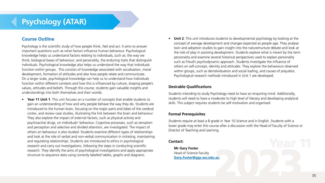# **Psychology (ATAR)**

# **Course Outline**

Psychology is the scientific study of how people think, feel and act. It aims to answer important questions such as what factors influence human behaviour. Psychological knowledge helps us understand factors relating to individuals, such as: the way we think; biological bases of behaviour; and personality, the enduring traits that distinguish individuals. Psychological knowledge also helps us understand the way that individuals function within groups. This consists of knowledge associated with socialisation, moral development, formation of attitudes and also how people relate and communicate. On a larger scale, psychological knowledge can help us to understand how individuals function within different contexts and how this is influenced by culture, shaping people's values, attitudes and beliefs. Through this course, students gain valuable insights and understandings into both themselves and their worlds.

• **Year 11 Unit 1**: This unit focuses on a number of concepts that enable students to gain an understanding of how and why people behave the way they do. Students are introduced to the human brain, focusing on the major parts and lobes of the cerebral cortex, and review case studies, illustrating the link between the brain and behaviour. They also explore the impact of external factors, such as physical activity and psychoactive drugs, on individuals' behaviour. Cognitive processes, such as sensation and perception and selective and divided attention, are investigated. The impact of others on behaviour is also studied. Students examine different types of relationships and look at the role of verbal and non-verbal communication in initiating, maintaining and regulating relationships. Students are introduced to ethics in psychological research and carry out investigations, following the steps in conducting scientific research. They identify the aims of psychological investigations and apply appropriate structure to sequence data using correctly labelled tables, graphs and diagrams.

• **Unit 2**: This unit introduces students to developmental psychology by looking at the concept of average development and changes expected as people age. They analyse twin and adoption studies to gain insight into the nature/nurture debate and look at the role of play in assisting development. Students explore what is meant by the term personality and examine several historical perspectives used to explain personality such as Freud's psychodynamic approach. Students investigate the influence of others on self-concept, identity and attitudes. They explore the behaviours observed within groups, such as deindividuation and social loafing, and causes of prejudice. Psychological research methods introduced in Unit 1 are developed.

## **Desirable Qualifications**

Students intending to study Psychology need to have an enquiring mind. Additionally, students will need to have a moderate to high level of literacy and developing analytical skills. This subject requires students be self-motivation and organised.

#### **Formal Prerequisites**

Students require at least a B grade in Year 10 Science and in English. Students with a lower grade may enter this course after a discussion with the Head of Faculty of Science or Director of Teaching and Learning.

#### **Contact:**

**Mr Gary Foster** Head of Science Faculty **[Gary.Foster@ggs.wa.edu.au](mailto:Gary.Foster%40ggs.wa.edu.au?subject=)**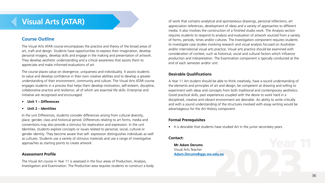# **Visual Arts (ATAR)**

# **Course Outline**

The Visual Arts ATAR course encompasses the practice and theory of the broad areas of art, craft and design. Students have opportunities to express their imagination, develop personal imagery, develop skills and engage in the making and presentation of artwork. They develop aesthetic understanding and a critical awareness that assists them to appreciate and make informed evaluations of art.

The course places value on divergence, uniqueness and individuality. It assists students to value and develop confidence in their own creative abilities and to develop a greater understanding of their environment, community and culture. The Visual Arts ATAR course engages students in a process that helps them develop motivation, self-esteem, discipline, collaborative practice and resilience, all of which are essential life skills. Enterprise and initiative are recognised and encouraged.

- **Unit 1 Differences**
- **Unit 2 Identities**

In the unit Differences, students consider differences arising from cultural diversity, place, gender, class and historical period. Differences relating to art forms, media and conventions may also provide a stimulus for exploration and expression. In the unit Identities, students explore concepts or issues related to personal, social, cultural or gender identity. They become aware that self‐ expression distinguishes individuals as well as cultures. Students use a variety of stimulus materials and use a range of investigative approaches as starting points to create artwork.

#### **Assessment Profile**

The Visual Art course in Year 11 is assessed in the four areas of Production, Analysis, Investigation and Examination. The Production area requires students to construct a body

of work that contains analytical and spontaneous drawings, personal reflections, art appreciation references, development of ideas and a variety of approaches to different media. It also involves the construction of a finished studio work. The Analysis section requires students to respond to analysis and evaluation of artwork sourced from a variety of forms, periods, times and/or cultures. The Investigation component requires students to investigate case studies involving research and visual analysis focused on Australian and/or international visual arts practice. Visual arts practice should be examined with consideration of context, such as historical, social and cultural factors which influence production and interpretation. The Examination component is typically conducted at the end of each semester and/or unit.

# **Desirable Qualifications**

A Year 11 Art student should be able to think creatively, have a sound understanding of the elements and principles of art and design, be competent at drawing and willing to experiment with ideas and concepts from both traditional and contemporary aesthetics. Good practical skills, past experiences coupled with the desire to work hard in a disciplined, creative and vibrant environment are desirable. An ability to write critically and with a sound understanding of the structures involved with essay writing would be advantageous for the Art History component.

## **Formal Prerequisites**

• It is desirable that students have studied Art in the junior secondary years.

## **Contact:**

**Mr Adam Derums** Visual Arts Teacher **[Adam.Derums@ggs.wa.edu.au](mailto:Adam.Derums%40ggs.wa.edu.au?subject=)**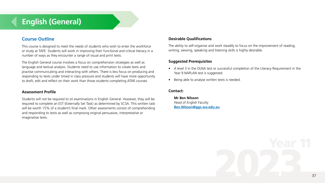# **English (General)**

# **Course Outline**

This course is designed to meet the needs of students who wish to enter the workforce or study at TAFE. Students will work in improving their functional and critical literacy in a number of ways as they encounter a range of visual and print texts.

The English General course involves a focus on comprehension strategies as well as language and textual analysis. Students need to use information to create texts and practise communicating and interacting with others. There is less focus on producing and responding to texts under timed in class pressure and students will have more opportunity to draft, edit and reflect on their work than those students completing ATAR courses.

## **Assessment Profile**

Students will not be required to sit examinations in English General. However, they will be required to complete an EST (Externally Set Task) as determined by SCSA. This written task will be worth 15% of a student's final mark. Other assessments consist of comprehending and responding to texts as well as composing original persuasive, interpretative or imaginative texts.

# **Desirable Qualifications**

The ability to self-organise and work steadily to focus on the improvement of reading, writing, viewing, speaking and listening skills is highly desirable.

## **Suggested Prerequisites**

- A level 3 in the OLNA test or successful completion of the Literacy Requirement in the Year 9 NAPLAN test is suggested.
- Being able to analyse written texts is needed.

#### **Contact:**

**Mr Ben Nilsson** Head of English Faculty **[Ben.Nilsson@ggs.wa.edu.au](mailto:Ben.Nilsson%40ggs.wa.edu.au?subject=)**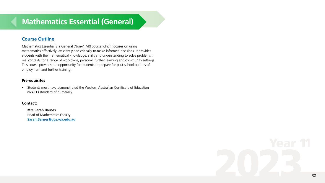# **Mathematics Essential (General)**

# **Course Outline**

Mathematics Essential is a General (Non-ATAR) course which focuses on using mathematics effectively, efficiently and critically to make informed decisions. It provides students with the mathematical knowledge, skills and understanding to solve problems in real contexts for a range of workplace, personal, further learning and community settings. This course provides the opportunity for students to prepare for post-school options of employment and further training.

## **Prerequisites**

• Students must have demonstrated the Western Australian Certificate of Education (WACE) standard of numeracy.

## **Contact:**

**Mrs Sarah Barnes** Head of Mathematics Faculty **Sarah.Barne[s@ggs.wa.edu.au](mailto:Sarah.Barnes%40ggs.wa.edu.au?subject=)**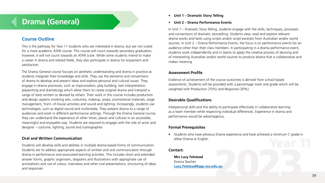# **Drama (General)**

# **Course Outline**

This is the pathway for Year 11 students who are interested in drama, but are not suited for a more academic ATAR course. This course will count towards secondary graduation, however, it will not count towards an ATAR score. While some students intend to make a career in drama and related fields, they also participate in drama for enjoyment and satisfaction.

The Drama General course focuses on aesthetic understanding and drama in practice as students integrate their knowledge and skills. They use the elements and conventions of drama to develop and present ideas and explore personal and cultural issues. They engage in drama processes, such as improvisation, play building, text interpretation, playwriting and dramaturgy which allow them to create original drama and interpret a range of texts written or devised by others. Their work in this course includes production and design aspects involving sets, costumes, makeup, props, promotional materials, stage management, front- of-house activities and sound and lighting. Increasingly, students use technologies, such as digital sound and multimedia. They present drama to a range of audiences and work in different performance settings. Through the Drama General course, they can understand the experience of other times, places and cultures in an accessible, meaningful and enjoyable way. Students are required to engage with the role of actor and designer – costume, lighting, sound and scenographer.

# **Oral and Written Communication**

Students will develop skills and abilities in multiple drama-based forms of communication. Students are to address appropriate aspects of written and oral communication through drama in performance and associated learning activities. This includes short and extended answer forms, graphic organisers, diagrams and illustrations with appropriate use of annotations and use of colour, interviews and other oral presentations, structuring of ideas and responses.

- **Unit 1 Dramatic Story Telling**
- **Unit 2 Drama Performance Events**

In Unit 1 – Dramatic Story Telling, students engage with the skills, techniques, processes and conventions of dramatic storytelling. Students view, read and explore relevant drama works and texts using scripts and/or script excerpts from Australian and/or world sources. In Unit 2 – Drama Performance Events, the focus is on performance events for an audience other than their class members. In participating in a drama performance event, students work independently and in teams to apply the creative process of devising and of interpreting Australian and/or world sources to produce drama that is collaborative and makes meaning.

#### **Assessment Profile**

Evidence of achievement of the course outcomes is derived from school based assessments. Students will be provided with a percentage mark and grade which will be weighted with Production (70%) and Response (30%)

# **Desirable Qualifications**

Interpersonal skills and the ability to participate effectively in collaborative learning as a team member while respecting individual differences. Experience in drama and performance would be advantageous.

# **Formal Prerequisites**

• Students who have previous Drama experience and have achieved a minimum C grade in either Drama or English.

## **Contact:**

**Mrs Lucy Felstead** Drama Teacher **[Lucy.Felstead@ggs.wa.edu.au](mailto:Lucy.Felstead%40ggs.wa.edu.au?subject=)**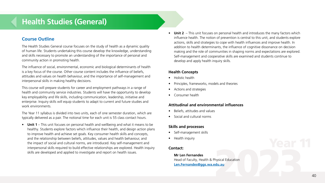# **Health Studies (General)**

# **Course Outline**

The Health Studies General course focuses on the study of health as a dynamic quality of human life. Students undertaking this course develop the knowledge, understanding and skills necessary to promote an understanding of the importance of personal and community action in promoting health.

The influence of social, environmental, economic and biological determinants of health is a key focus of the course. Other course content includes the influence of beliefs, attitudes and values on health behaviour, and the importance of self-management and interpersonal skills in making healthy decisions.

This course will prepare students for career and employment pathways in a range of health and community service industries. Students will have the opportunity to develop key employability and life skills, including communication, leadership, initiative and enterprise. Inquiry skills will equip students to adapt to current and future studies and work environments.

The Year 11 syllabus is divided into two units, each of one semester duration, which are typically delivered as a pair. The notional time for each unit is 55 class contact hours.

• **Unit 1** – This unit focuses on personal health and wellbeing and what it means to be healthy. Students explore factors which influence their health, and design action plans to improve health and achieve set goals. Key consumer health skills and concepts, and the relationship between beliefs, attitudes, values and health behaviour, and the impact of social and cultural norms, are introduced. Key self-management and interpersonal skills required to build effective relationships are explored. Health inquiry skills are developed and applied to investigate and report on health issues.

• **Unit 2** – This unit focuses on personal health and introduces the many factors which influence health. The notion of prevention is central to this unit, and students explore actions, skills and strategies to cope with health influences and improve health. In addition to health determinants, the influence of cognitive dissonance on decision making and the role of communities in shaping norms and expectations are explored. Self-management and cooperative skills are examined and students continue to develop and apply health inquiry skills.

## **Health Concepts**

- Holistic health
- Principles, frameworks, models and theories
- Actions and strategies
- Consumer health

# **Attitudinal and environmental influences**

- Beliefs, attitudes and values
- Social and cultural norms

# **Skills and processes**

- Self-management skills
- Health inquiry

# **Contact:**

**Mr Len Fernandes** Head of Faculty, Health & Physical Education **[Len.Fernandes@ggs.wa.edu.au](mailto:Len.Fernandes%40ggs.wa.edu.au?subject=)**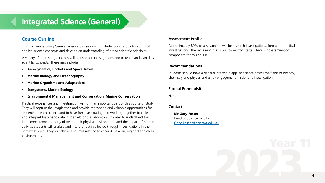# **Integrated Science (General)**

# **Course Outline**

This is a new, exciting General Science course in which students will study two units of applied science concepts and develop an understanding of broad scientific principles.

A variety of interesting contexts will be used for investigations and to teach and learn key scientific concepts. These may include:

- **Aerodynamics, Rockets and Space Travel**
- **Marine Biology and Oceanography**
- **Marine Organisms and Adaptations**
- **Ecosystems, Marine Ecology**
- **Environmental Management and Conservation, Marine Conservation**

Practical experiences and investigation will form an important part of this course of study. They will capture the imagination and provide motivation and valuable opportunities for students to learn science and to have fun investigating and working together to collect and interpret first- hand data in the field or the laboratory. In order to understand the interconnectedness of organisms to their physical environment, and the impact of human activity, students will analyse and interpret data collected through investigations in the context studied. They will also use sources relating to other Australian, regional and global environments.

# **Assessment Profile**

Approximately 80% of assessments will be research investigations, formal or practical investigations. The remaining marks will come from tests. There is no examination component for this course.

## **Recommendations**

Students should have a general interest in applied science across the fields of biology, chemistry and physics and enjoy engagement in scientific investigation.

# **Formal Prerequisites**

None.

# **Contact:**

**Mr Gary Foster** Head of Science Faculty **[Gary.Foster@ggs.wa.edu.au](mailto:Gary.Foster%40ggs.wa.edu.au?subject=)**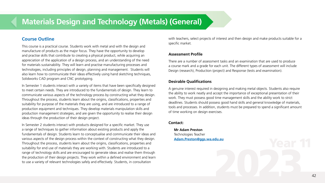# **Materials Design and Technology (Metals) (General)**

# **Course Outline**

This course is a practical course. Students work with metal and with the design and manufacture of products as the major focus. They have the opportunity to develop and practise skills that contribute to creating a physical product, while acquiring an appreciation of the application of a design process, and an understanding of the need for materials sustainability. They will learn and practise manufacturing processes and technologies, including principles of design, planning and management. Students will also learn how to communicate their ideas effectively using hand sketching techniques, Solidworks CAD program and CNC prototyping.

In Semester 1 students interact with a variety of items that have been specifically designed to meet certain needs. They are introduced to the fundamentals of design. They learn to communicate various aspects of the technology process by constructing what they design. Throughout the process, students learn about the origins, classifications, properties and suitability for purpose of the materials they are using, and are introduced to a range of production equipment and techniques. They develop materials manipulation skills and production management strategies, and are given the opportunity to realise their design ideas through the production of their design project.

In Semester 2 students interact with products designed for a specific market. They use a range of techniques to gather information about existing products and apply the fundamentals of design. Students learn to conceptualise and communicate their ideas and various aspects of the design process within the context of constructing what they design. Throughout the process, students learn about the origins, classifications, properties and suitability for end use of materials they are working with. Students are introduced to a range of technology skills and are encouraged to generate ideas and realise them through the production of their design projects. They work within a defined environment and learn to use a variety of relevant technologies safely and effectively. Students, in consultation

with teachers, select projects of interest and then design and make products suitable for a specific market.

# **Assessment Profile**

There are a number of assessment tasks and an examination that are used to produce a course mark and a grade for each unit. The different types of assessment will include Design (research), Production (project) and Response (tests and examination).

# **Desirable Qualifications**

A genuine interest required in designing and making metal objects. Students also require the ability to work neatly and accept the importance of exceptional presentation of their work. They must possess good time management skills and the ability work to strict deadlines. Students should possess good hand skills and general knowledge of materials, tools and processes. In addition, students must be prepared to spend a significant amount of time working on design exercises.

# **Contact:**

**Mr Adam Preston** Technologies Teacher **Adam.Presto[n@ggs.wa.edu.au](mailto:Adam.Preston%40ggs.wa.edu.au?subject=)**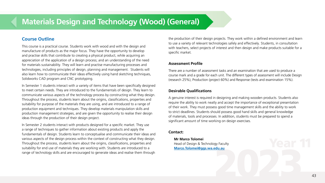# **Materials Design and Technology (Wood) (General)**

# **Course Outline**

This course is a practical course. Students work with wood and with the design and manufacture of products as the major focus. They have the opportunity to develop and practise skills that contribute to creating a physical product, while acquiring an appreciation of the application of a design process; and an understanding of the need for materials sustainability. They will learn and practise manufacturing processes and technologies, including principles of design, planning and management. Students will also learn how to communicate their ideas effectively using hand sketching techniques, Solidworks CAD program and CNC prototyping.

In Semester 1 students interact with a variety of items that have been specifically designed to meet certain needs. They are introduced to the fundamentals of design. They learn to communicate various aspects of the technology process by constructing what they design. Throughout the process, students learn about the origins, classifications, properties and suitability for purpose of the materials they are using, and are introduced to a range of production equipment and techniques. They develop materials manipulation skills and production management strategies, and are given the opportunity to realise their design ideas through the production of their design project.

In Semester 2 students interact with products designed for a specific market. They use a range of techniques to gather information about existing products and apply the fundamentals of design. Students learn to conceptualise and communicate their ideas and various aspects of the design process within the context of constructing what they design. Throughout the process, students learn about the origins, classifications, properties and suitability for end use of materials they are working with. Students are introduced to a range of technology skills and are encouraged to generate ideas and realise them through

the production of their design projects. They work within a defined environment and learn to use a variety of relevant technologies safely and effectively. Students, in consultation with teachers, select projects of interest and then design and make products suitable for a specific market.

# **Assessment Profile**

There are a number of assessment tasks and an examination that are used to produce a course mark and a grade for each unit. The different types of assessment will include Design (research 25%), Production (project 60%) and Response (tests and examination 15%).

## **Desirable Qualifications**

A genuine interest is required in designing and making wooden products. Students also require the ability to work neatly and accept the importance of exceptional presentation of their work. They must possess good time management skills and the ability to work to strict deadlines. Students should possess good hand skills and general knowledge of materials, tools and processes. In addition, students must be prepared to spend a significant amount of time working on design exercises.

## **Contact:**

**Mr Marco Tolomei** Head of Design & Technology Faculty **Marco.Tolomei[@ggs.wa.edu.au](mailto:Marco.Tolomei%40ggs.wa.edu.au?subject=)**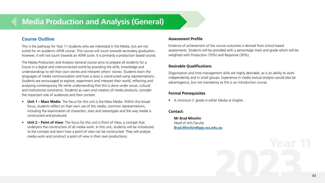# **Media Production and Analysis (General)**

# **Course Outline**

This is the pathway for Year 11 students who are interested in the Media, but are not suited for an academic ATAR course. This course will count towards secondary graduation, however, it will not count towards an ATAR score. It is primarily a production based course.

The Media Production and Analysis General course aims to prepare all students for a future in a digital and interconnected world by providing the skills, knowledge and understandings to tell their own stories and interpret others' stories. Students learn the languages of media communication and how a story is constructed using representations. Students are encouraged to explore, experiment and interpret their world, reflecting and analysing contemporary life while understanding that this is done under social, cultural and institutional constraints. Students as users and creators of media products, consider the important role of audiences and their context.

- **Unit 1 Mass Media**: The focus for this unit is the Mass Media. Within this broad focus, students reflect on their own use of the media, common representations, including the examination of characters, stars and stereotypes and the way media is constructed and produced.
- **Unit 2 Point of View**: The focus for this unit is Point of View, a concept that underpins the construction of all media work. In this unit, students will be introduced to the concept and learn how a point of view can be constructed. They will analyse media work and construct a point of view in their own productions.

#### **Assessment Profile**

Evidence of achievement of the course outcomes is derived from school based assessments. Students will be provided with a percentage mark and grade which will be weighted with Production (70%) and Response (30%).

## **Desirable Qualifications**

Organisation and time management skills are highly desirable, as is an ability to work independently and in small groups. Experience in media textual analysis would also be advantageous, but not mandatory as this is an introduction course.

# **Formal Prerequisites**

• A minimum C grade in either Media or English.

## **Contact:**

**Mr Brad Minchin** Head of Arts Faculty **[Brad.Minchin@ggs.wa.edu.au](mailto:Brad.Minchin%40ggs.wa.edu.au?subject=)**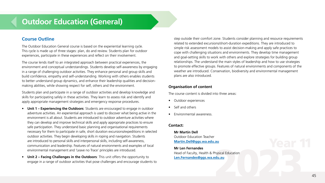# **Outdoor Education (General)**

# **Course Outline**

The Outdoor Education General course is based on the experiential learning cycle. This cycle is made up of three stages: plan, do and review. Students plan for outdoor experiences, participate in these experiences and reflect on their involvement.

The course lends itself to an integrated approach between practical experiences, the environment and conceptual understandings. Students develop self-awareness by engaging in a range of challenging outdoor activities. They enhance personal and group skills and build confidence, empathy and self-understanding. Working with others enables students to better understand group dynamics, and enhance their leadership qualities and decisionmaking abilities, while showing respect for self, others and the environment.

Students plan and participate in a range of outdoor activities and develop knowledge and skills for participating safely in these activities. They learn to assess risk and identify and apply appropriate management strategies and emergency response procedures.

- **Unit 1 Experiencing the Outdoors**: Students are encouraged to engage in outdoor adventure activities. An experiential approach is used to discover what being active in the environment is all about. Students are introduced to outdoor adventure activities where they can develop and improve technical skills and apply appropriate practices to ensure safe participation. They understand basic planning and organisational requirements necessary for them to participate in safe, short duration excursions/expeditions in selected outdoor activities. They begin developing skills in roping and navigation. Students are introduced to personal skills and interpersonal skills, including self-awareness, communication and leadership. Features of natural environments and examples of local environmental management and 'Leave no Trace' principles are introduced.
- **Unit 2 Facing Challenges in the Outdoors**: This unit offers the opportunity to engage in a range of outdoor activities that pose challenges and encourage students to

step outside their comfort zone. Students consider planning and resource requirements related to extended excursions/short-duration expeditions. They are introduced to simple risk assessment models to assist decision-making and apply safe practices to cope with challenging situations and environments. They develop time management and goal-setting skills to work with others and explore strategies for building group relationships. The understand the main styles of leadership and how to use strategies to promote effective groups. Features of natural environments and components of the weather are introduced. Conservation, biodiversity and environmental management plans are also introduced.

# **Organisation of content**

The course content is divided into three areas:

- Outdoor experiences
- Self and others
- Environmental awareness.

## **Contact:**

**Mr Martin Dell** Outdoor Education Teacher **Martin.Del[l@ggs.wa.edu.au](mailto:Martin.Dell%40ggs.wa.edu.au?subject=)**

**Mr Len Fernandes** Head of Faculty, Health & Physical Education **[Len.Fernandes@ggs.wa.edu.au](mailto:Len.Fernandes%40ggs.wa.edu.au?subject=)**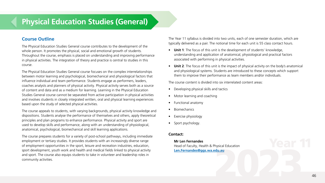# **Physical Education Studies (General)**

# **Course Outline**

The Physical Education Studies General course contributes to the development of the whole person. It promotes the physical, social and emotional growth of students. Throughout the course, emphasis is placed on understanding and improving performance in physical activities. The integration of theory and practice is central to studies in this course.

The Physical Education Studies General course focuses on the complex interrelationships between motor learning and psychological, biomechanical and physiological factors that influence individual and team performance. Students engage as performers, leaders, coaches analysts and planners of physical activity. Physical activity serves both as a source of content and data and as a medium for learning. Learning in the Physical Education Studies General course cannot be separated from active participation in physical activities and involves students in closely integrated written, oral and physical learning experiences based upon the study of selected physical activities.

The course appeals to students, with varying backgrounds, physical activity knowledge and dispositions. Students analyse the performance of themselves and others, apply theoretical principles and plan programs to enhance performance. Physical activity and sport are used to develop skills and performance, along with an understanding of physiological, anatomical, psychological, biomechanical and skill learning applications.

The course prepares students for a variety of post-school pathways, including immediate employment or tertiary studies. It provides students with an increasingly diverse range of employment opportunities in the sport, leisure and recreation industries, education, sport development, youth work and health and medical fields linked to physical activity and sport. The course also equips students to take in volunteer and leadership roles in community activities.

The Year 11 syllabus is divided into two units, each of one semester duration, which are typically delivered as a pair. The notional time for each unit is 55 class contact hours.

- **Unit 1**: The focus of this unit is the development of students' knowledge, understanding and application of anatomical, physiological and practical factors associated with performing in physical activities.
- **Unit 2**: The focus of this unit is the impact of physical activity on the body's anatomical and physiological systems. Students are introduced to these concepts which support them to improve their performance as team members and/or individuals.

The course content is divided into six interrelated content areas:

- Developing physical skills and tactics
- Motor learning and coaching
- Functional anatomy
- Biomechanics
- Exercise physiology
- Sport psychology.

## **Contact:**

**Mr Len Fernandes** Head of Faculty, Health & Physical Education **[Len.Fernandes@ggs.wa.edu.au](mailto:Len.Fernandes%40ggs.wa.edu.au?subject=)**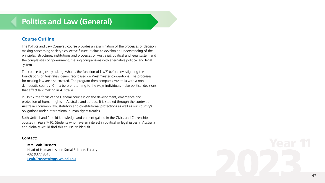# **Politics and Law (General)**

# **Course Outline**

The Politics and Law (General) course provides an examination of the processes of decision making concerning society's collective future. It aims to develop an understanding of the principles, structures, institutions and processes of Australia's political and legal system and the complexities of government, making comparisons with alternative political and legal systems.

The course begins by asking 'what is the function of law?' before investigating the foundations of Australia's democracy based on Westminster conventions. The processes for making law are also covered. The program then compares Australia with a nondemocratic country, China before returning to the ways individuals make political decisions that affect law making in Australia.

In Unit 2 the focus of the General course is on the development, emergence and protection of human rights in Australia and abroad. It is studied through the context of Australia's common law, statutory and constitutional protections as well as our country's obligations under international human rights treaties.

Both Units 1 and 2 build knowledge and content gained in the Civics and Citizenship courses in Years 7-10. Students who have an interest in political or legal issues in Australia and globally would find this course an ideal fit.

#### **Contact:**

#### **Mrs Leah Truscott**

Head of Humanities and Social Sciences Faculty (08) 9377 8513 **[Leah.Truscott@ggs.wa.edu.au](mailto:Leah.Truscott%40ggs.wa.edu.au?subject=)**

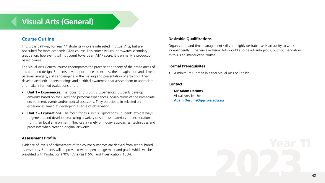# **Visual Arts (General)**

# **Course Outline**

This is the pathway for Year 11 students who are interested in Visual Arts, but are not suited for more academic ATAR course. This course will count towards secondary graduation, however it will not count towards an ATAR score. It is primarily a production based course.

The Visual Arts General course encompasses the practice and theory of the broad areas of art, craft and design. Students have opportunities to express their imagination and develop personal imagery, skills and engage in the making and presentation of artworks. They develop aesthetic understandings and a critical awareness that assists them to appreciate and make informed evaluations of art.

- **Unit 1 Experiences**: The focus for this unit is Experiences. Students develop artworks based on their lives and personal experiences, observations of the immediate environment, events and/or special occasions. They participate in selected art experiences aimed at developing a sense of observation.
- **Unit 2 Explorations**: The focus for this unit is Explorations. Students explore ways to generate and develop ideas using a variety of stimulus materials and explorations from their local environment. They use a variety of inquiry approaches, techniques and processes when creating original artworks.

## **Assessment Profile**

Evidence of levels of achievement of the course outcomes are derived from school based assessments. Students will be provided with a percentage mark and grade which will be weighted with Production (70%), Analysis (15%) and Investigation (15%).

# **Desirable Qualifications**

Organisation and time management skills are highly desirable, as is an ability to work independently. Experience in Visual Arts would also be advantageous, but not mandatory as this is an introduction course.

## **Formal Prerequisites**

• A minimum C grade in either Visual Arts or English.

## **Contact:**

**Mr Adam Derums** Visual Arts Teacher **[Adam.Derums@ggs.wa.edu.au](mailto:Adam.Derums%40ggs.wa.edu.au?subject=)**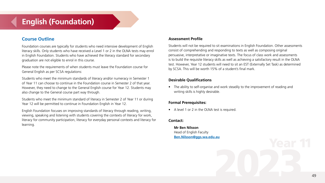# **English (Foundation)**

# **Course Outline**

Foundation courses are typically for students who need intensive development of English literacy skills. Only students who have received a Level 1 or 2 in the OLNA tests may enrol in English Foundation. Students who have achieved the literacy standard for secondary graduation are not eligible to enrol in this course.

Please note the requirements of when students must leave the Foundation course for General English as per SCSA regulations:

Students who meet the minimum standards of literacy and/or numeracy in Semester 1 of Year 11 can choose to continue in the Foundation course in Semester 2 of that year. However, they need to change to the General English course for Year 12. Students may also change to the General course part way through.

Students who meet the minimum standard of literacy in Semester 2 of Year 11 or during Year 12 will be permitted to continue in Foundation English in Year 12.

English Foundation focuses on improving standards of literacy through reading, writing, viewing, speaking and listening with students covering the contexts of literacy for work, literacy for community participation, literacy for everyday personal contexts and literacy for learning.

# **Assessment Profile**

Students will not be required to sit examinations in English Foundation. Other assessments consist of comprehending and responding to texts as well as composing original persuasive, interpretative or imaginative texts. The focus of class work and assessments is to build the requisite literacy skills as well as achieving a satisfactory result in the OLNA test. However, Year 12 students will need to sit an EST (Externally Set Task) as determined by SCSA. This will be worth 15% of a student's final mark.

# **Desirable Qualifications**

• The ability to self-organise and work steadily to the improvement of reading and writing skills is highly desirable.

# **Formal Prerequisites:**

• A level 1 or 2 in the OLNA test is required.

# **Contact:**

**Mr Ben Nilsson** Head of English Faculty **[Ben.Nilsson@ggs.wa.edu.au](mailto:Ben.Nilsson%40ggs.wa.edu.au?subject=)**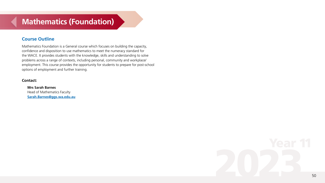# **Mathematics (Foundation)**

# **Course Outline**

Mathematics Foundation is a General course which focuses on building the capacity, confidence and disposition to use mathematics to meet the numeracy standard for the WACE. It provides students with the knowledge, skills and understanding to solve problems across a range of contexts, including personal, community and workplace/ employment. This course provides the opportunity for students to prepare for post-school options of employment and further training.

## **Contact:**

**Mrs Sarah Barnes** Head of Mathematics Faculty **Sarah.Barne[s@ggs.wa.edu.au](mailto:Sarah.Barnes%40ggs.wa.edu.au?subject=)**

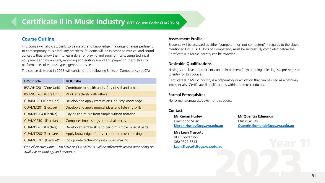# **Certificate II in Music Industry (VET Course Code: CUA20615)**

# **Course Outline**

This course will allow students to gain skills and knowledge in a range of areas pertinent to contemporary music industry practices. Students will be exposed to musical and sound concepts that allow them to learn skills for playing and singing music, using technical equipment and computers, recording and editing sound and preparing themselves for performances of various types, genres and sizes.

The course delivered in 2023 will consist of the following Units of Competency (UoC's):

| <b>UOC Code</b>              | <b>UOC Title</b>                                        |
|------------------------------|---------------------------------------------------------|
| BSBWHS201 (Core Unit)        | Contribute to health and safety of self and others      |
| <b>BSBWOR203 (Core Unit)</b> | Work effectively with others                            |
| CUAIND201 (Core Unit)        | Develop and apply creative arts industry knowledge      |
| <b>CUAMLT201 (Elective)</b>  | Develop and apply musical ideas and listening skills    |
| CUAMPF204 (Elective)         | Play or sing music from simple written notation         |
| CUAMCP301 (Elective)         | Compose simple songs or musical pieces                  |
| CUAMPF203 (Elective)         | Develop ensemble skills to perform simple musical parts |
| CUAMLT202 (Elective)*        | Apply knowledge of music culture to music making        |
| CUAMCP201 (Elective)*        | Incorporate technology into music making                |

*\*One of elective units CUALT202 or CUAMCP201 will be offered/delivered depending on available technology and resources.*

#### **Assessment Profile**

Students will be assessed as either 'competent' or 'not-competent' in regards to the above mentioned UoC's. ALL Units of Competency must be successfully completed before the Certificate II in Music Industry can be awarded.

# **Desirable Qualifications**

Having some level of proficiency on an instrument (any) or being able sing is a pre-requisite to entry for this course.

Certificate II in Music Industry is a preparatory qualification that can be used as a pathway into specialist Certificate III qualifications within the music industry.

# **Formal Prerequisites**

No formal prerequisites exist for this course.

# **Contact:**

**Mr Kieran Hurley Mr Quentin Edmonds** Director of Music Music Music Faculty

**Mrs Leah Truscott** VET Coordinator (08) 9377 8513 **[Leah.Truscott@ggs.wa.edu.au](mailto:Leah.Truscott%40ggs.wa.edu.au?subject=)**

**[Kieran.Hurley@ggs.wa.edu.au](mailto:Kieran.Hurley%40ggs.wa.edu.au?subject=) [Quentin.Edmonds@ggs.wa.edu.au](mailto:Quentin.Edmonds%40ggs.wa.edu.au?subject=)**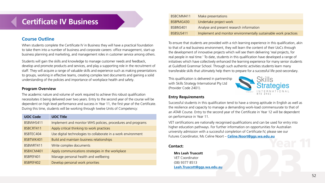# **Certificate IV Business**

# **Course Outline**

When students complete the Certificate IV in Business they will have a practical foundation to take them into a number of business and corporate careers: office management, start-up business planning and marketing, and management roles in customer service among others.

Students will gain the skills and knowledge to manage customer needs and feedback, develop and promote products and services, and play a supporting role in the recruitment of staff. They will acquire a range of valuable skills and experience such as making presentations to groups, working in effective teams, creating complex text documents and gaining a solid understanding of the policies and importance of workplace health and safety.

#### **Program Overview**

The academic nature and volume of work required to achieve this robust qualification necessitates it being delivered over two years. Entry to the second year of the course will be dependent on high level performance and success in Year 11, the first year of the Certificate. During this time, students will be working through twelve Units of Competency:

| <b>UOC Code</b> | <b>UOC Title</b>                                              |
|-----------------|---------------------------------------------------------------|
| BSBWHS411       | Implement and monitor WHS policies, procedures and programs   |
| BSBCRT411       | Apply critical thinking to work practices                     |
| BSBTEC404       | Use digital technologies to collaborate in a work environment |
| BSBTWK401       | Build and maintain business relationships                     |
| BSBWRT411       | Write complex documents                                       |
| BSBXCM401       | Apply communications strategies in the workplace              |
| BSBPEF401       | Manage personal health and wellbeing                          |
| BSBPEF402       | Develop personal work priorities                              |

| BSBCMM411 | Make presentations                                               |
|-----------|------------------------------------------------------------------|
| BSBPMG430 | Undertake project work                                           |
| BSBINS401 | Analyse and present research information                         |
| BSBSUS411 | Implement and monitor environmentally sustainable work practices |

To ensure that students are provided with a rich learning experience in this qualification, akin to that of a real business environment, they will learn the content of their UoCs through the development of innovative projects which will see them delivering 'real projects, for real people in real time.' To date, students in this qualification have developed a range of initiatives which have collectively enhanced the learning experience for many senior students at Guildford Grammar School. Through such authentic activities students learn many transferable skills that ultimately help them to prepare for a successful life post-secondary.

This qualification is delivered in partnership with Skills Strategy International Pty Ltd (Provider Code 2401).



# **Entry Requirements**

Successful students in this qualification tend to have a strong aptitude in English as well as the resilience and capacity to manage a demanding work-load commensurate to that of an ATAR Course. Entry to the second year of the Certificate in Year 12 will be dependent on performance in Year 11.

VET certifications are nationally recognised qualifications and can be used for entry into higher education pathways. For further information on opportunities for Australian university admission with a successful completion of Certificate IV, please see our Futures Coordinator, Ms Celine Noort – **[Celine.Noort@ggs.wa.edu.au](mailto:Celine.Noort%40ggs.wa.edu.au?subject=)**

# **Contact:**

**Mrs Leah Truscott** VET Coordinator (08) 9377 8513 **[Leah.Truscott@ggs.wa.edu.au](mailto:Leah.Truscott%40ggs.wa.edu.au?subject=)**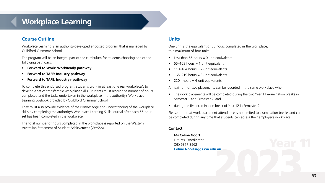# **Workplace Learning**

# **Course Outline**

Workplace Learning is an authority-developed endorsed program that is managed by Guildford Grammar School.

The program will be an integral part of the curriculum for students choosing one of the following pathways:

- **Forward to Work: WorkReady pathway**
- **Forward to TAFE: Industry pathway**
- **Forward to TAFE: Industry+ pathway**

To complete this endorsed program, students work in at least one real workplace/s to develop a set of transferable workplace skills. Students must record the number of hours completed and the tasks undertaken in the workplace in the authority's Workplace Learning Logbook provided by Guildford Grammar School.

They must also provide evidence of their knowledge and understanding of the workplace skills by completing the authority's Workplace Learning Skills Journal after each 55 hour set has been completed in the workplace.

The total number of hours completed in the workplace is reported on the Western Australian Statement of Student Achievement (WASSA).

# **Units**

One unit is the equivalent of 55 hours completed in the workplace, to a maximum of four units.

- Less than 55 hours  $= 0$  unit equivalents
- $\bullet$  55–109 hours = 1 unit equivalent
- $\bullet$  110–164 hours = 2-unit equivalents
- $\bullet$  165–219 hours = 3-unit equivalents
- 220+ hours = 4-unit equivalents.

A maximum of two placements can be recorded in the same workplace when:

- The work placements will be completed during the two Year 11 examination breaks in Semester 1 and Semester 2, and
- during the first examination break of Year 12 in Semester 2.

Please note that work placement attendance is not limited to examination breaks and can be completed during any time that students can access their employer's workplace.

## **Contact:**

**Ms Celine Noort** Futures Coordinator (08) 9377 8562 **[Celine.Noort@ggs.wa.edu.au](mailto:Celine.Noort%40ggs.wa.edu.au?subject=)**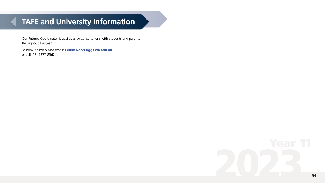# **TAFE and University Information**

Our Futures Coordinator is available for consultations with students and parents throughout the year.

To book a time please email: **[Celine.Noort@ggs.wa.edu.au](mailto:Celine.Noort%40ggs.wa.edu.au?subject=)** or call (08) 9377 8562.

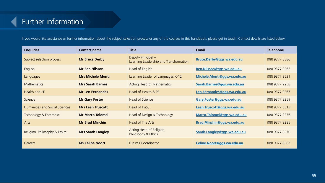# Further information

If you would like assistance or further information about the subject selection process or any of the courses in this handbook, please get in touch. Contact details are listed below.

| <b>Enquiries</b>                      | <b>Contact name</b>      | <b>Title</b>                                                   | <b>Email</b>                | <b>Telephone</b> |
|---------------------------------------|--------------------------|----------------------------------------------------------------|-----------------------------|------------------|
| Subject selection process             | <b>Mr Bruce Derby</b>    | Deputy Principal $-$<br>Learning Leadership and Transformation | Bruce.Derby@ggs.wa.edu.au   | $(08)$ 9377 8586 |
| English                               | <b>Mr Ben Nilsson</b>    | Head of English                                                | Ben.Nilsson@ggs.wa.edu.au   | $(08)$ 9377 9265 |
| Languages                             | <b>Mrs Michele Monti</b> | Learning Leader of Languages K-12                              | Michele.Monti@ggs.wa.edu.au | $(08)$ 9377 8531 |
| <b>Mathematics</b>                    | <b>Mrs Sarah Barnes</b>  | Acting Head of Mathematics                                     | Sarah.Barnes@ggs.wa.edu.au  | $(08)$ 9377 9258 |
| Health and PE                         | <b>Mr Len Fernandes</b>  | Head of Health & PE                                            | Len.Fernandes@ggs.wa.edu.au | $(08)$ 9377 9267 |
| Science                               | <b>Mr Gary Foster</b>    | Head of Science                                                | Gary.Foster@ggs.wa.edu.au   | $(08)$ 9377 9259 |
| <b>Humanities and Social Sciences</b> | <b>Mrs Leah Truscott</b> | Head of HaSS                                                   | Leah.Truscott@ggs.wa.edu.au | $(08)$ 9377 8513 |
| Technology & Enterprise               | <b>Mr Marco Tolomei</b>  | Head of Design & Technology                                    | Marco.Tolomei@ggs.wa.edu.au | $(08)$ 9377 9276 |
| Arts                                  | <b>Mr Brad Minchin</b>   | Head of The Arts                                               | Brad.Minchin@ggs.wa.edu.au  | $(08)$ 9377 9285 |
| Religion, Philosophy & Ethics         | <b>Mrs Sarah Langley</b> | Acting Head of Religion,<br>Philosophy & Ethics                | Sarah.Langley@ggs.wa.edu.au | $(08)$ 9377 8570 |
| Careers                               | <b>Ms Celine Noort</b>   | <b>Futures Coordinator</b>                                     | Celine.Noort@ggs.wa.edu.au  | $(08)$ 9377 8562 |